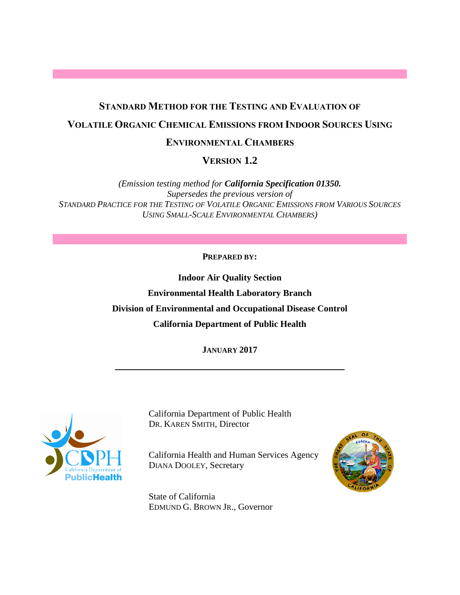## **STANDARD METHOD FOR THE TESTING AND EVALUATION OF VOLATILE ORGANIC CHEMICAL EMISSIONS FROM INDOOR SOURCES USING**

#### **ENVIRONMENTAL CHAMBERS**

 **VERSION 1.2** 

 *STANDARD PRACTICE FOR THE TESTING OF VOLATILE ORGANIC EMISSIONS FROM VARIOUS SOURCES (Emission testing method for California Specification 01350. Supersedes the previous version of USING SMALL-SCALE ENVIRONMENTAL CHAMBERS)* 

#### **PREPARED BY:**

**Indoor Air Quality Section Environmental Health Laboratory Branch Division of Environmental and Occupational Disease Control California Department of Public Health** 

**JANUARY 2017** 



California Department of Public Health DR. KAREN SMITH, Director

**DIANA DOOLEY, Secretary** California Health and Human Services Agency



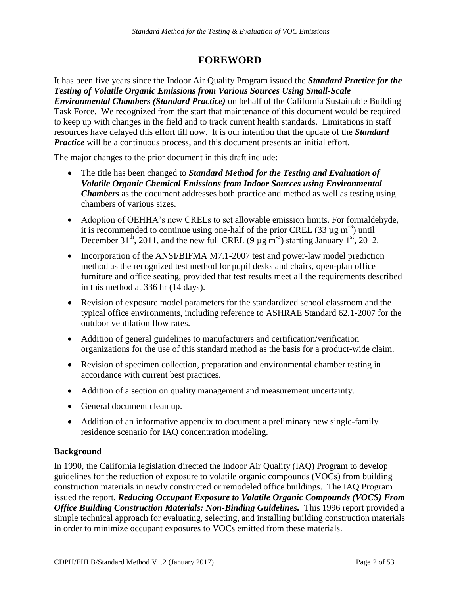#### **FOREWORD**

<span id="page-1-0"></span>*Practice* will be a continuous process, and this document presents an initial effort. It has been five years since the Indoor Air Quality Program issued the *Standard Practice for the Testing of Volatile Organic Emissions from Various Sources Using Small-Scale Environmental Chambers (Standard Practice)* on behalf of the California Sustainable Building Task Force. We recognized from the start that maintenance of this document would be required to keep up with changes in the field and to track current health standards. Limitations in staff resources have delayed this effort till now. It is our intention that the update of the *Standard* 

The major changes to the prior document in this draft include:

- The title has been changed to *Standard Method for the Testing and Evaluation of Volatile Organic Chemical Emissions from Indoor Sources using Environmental Chambers* as the document addresses both practice and method as well as testing using chambers of various sizes.
- December 31<sup>th</sup>, 2011, and the new full CREL (9  $\mu$ g m<sup>-3</sup>) starting January 1<sup>st</sup>, 2012. Adoption of OEHHA's new CRELs to set allowable emission limits. For formaldehyde, it is recommended to continue using one-half of the prior CREL  $(33 \mu g m<sup>-3</sup>)$  until
- Incorporation of the ANSI/BIFMA M7.1-2007 test and power-law model prediction method as the recognized test method for pupil desks and chairs, open-plan office furniture and office seating, provided that test results meet all the requirements described in this method at 336 hr (14 days).
- Revision of exposure model parameters for the standardized school classroom and the typical office environments, including reference to ASHRAE Standard 62.1-2007 for the outdoor ventilation flow rates.
- Addition of general guidelines to manufacturers and certification/verification organizations for the use of this standard method as the basis for a product-wide claim.
- Revision of specimen collection, preparation and environmental chamber testing in accordance with current best practices.
- Addition of a section on quality management and measurement uncertainty.
- General document clean up.
- Addition of an informative appendix to document a preliminary new single-family residence scenario for IAQ concentration modeling.

#### **Background**

In 1990, the California legislation directed the Indoor Air Quality (IAQ) Program to develop guidelines for the reduction of exposure to volatile organic compounds (VOCs) from building construction materials in newly constructed or remodeled office buildings. The IAQ Program issued the report, *Reducing Occupant Exposure to Volatile Organic Compounds (VOCS) From Office Building Construction Materials: Non-Binding Guidelines. This 1996 report provided a* simple technical approach for evaluating, selecting, and installing building construction materials in order to minimize occupant exposures to VOCs emitted from these materials.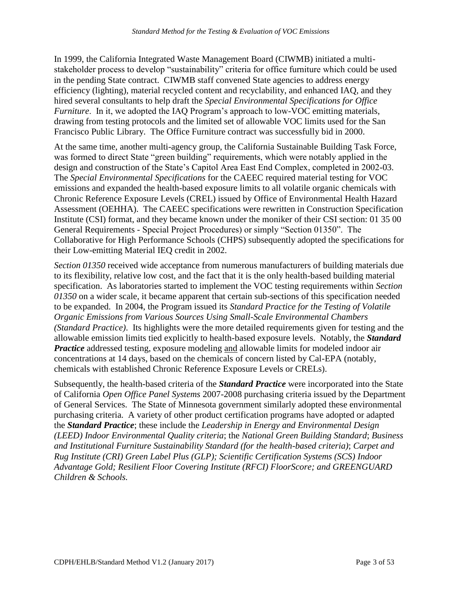*Furniture*. In it, we adopted the IAQ Program's approach to low-VOC emitting materials, *Standard Method for the Testing & Evaluation of VOC Emissions*<br> *nia* Integrated Waste Management Board (CIWMB) initia<br>
to develop "sustainability" criteria for office furniture wl<br>
contract. CIWMB staff convened State ag In 1999, the California Integrated Waste Management Board (CIWMB) initiated a multistakeholder process to develop "sustainability" criteria for office furniture which could be used in the pending State contract. CIWMB staff convened State agencies to address energy efficiency (lighting), material recycled content and recyclability, and enhanced IAQ, and they hired several consultants to help draft the *Special Environmental Specifications for Office*  drawing from testing protocols and the limited set of allowable VOC limits used for the San Francisco Public Library. The Office Furniture contract was successfully bid in 2000.

 At the same time, another multi-agency group, the California Sustainable Building Task Force, Chronic Reference Exposure Levels (CREL) issued by Office of Environmental Health Hazard was formed to direct State "green building" requirements, which were notably applied in the design and construction of the State's Capitol Area East End Complex, completed in 2002-03. The *Special Environmental Specifications* for the CAEEC required material testing for VOC emissions and expanded the health-based exposure limits to all volatile organic chemicals with Assessment (OEHHA). The CAEEC specifications were rewritten in Construction Specification Institute (CSI) format, and they became known under the moniker of their CSI section: 01 35 00 General Requirements - Special Project Procedures) or simply "Section 01350". The Collaborative for High Performance Schools (CHPS) subsequently adopted the specifications for their Low-emitting Material IEQ credit in 2002.

 *Practice* addressed testing, exposure modeling and allowable limits for modeled indoor air chemicals with established Chronic Reference Exposure Levels or CRELs). *Section 01350* received wide acceptance from numerous manufacturers of building materials due to its flexibility, relative low cost, and the fact that it is the only health-based building material specification. As laboratories started to implement the VOC testing requirements within *Section 01350* on a wider scale, it became apparent that certain sub-sections of this specification needed to be expanded. In 2004, the Program issued its *Standard Practice for the Testing of Volatile Organic Emissions from Various Sources Using Small-Scale Environmental Chambers (Standard Practice)*. Its highlights were the more detailed requirements given for testing and the allowable emission limits tied explicitly to health-based exposure levels. Notably, the *Standard*  concentrations at 14 days, based on the chemicals of concern listed by Cal-EPA (notably,

Subsequently, the health-based criteria of the *Standard Practice* were incorporated into the State of California *Open Office Panel Systems* 2007-2008 purchasing criteria issued by the Department of General Services. The State of Minnesota government similarly adopted these environmental purchasing criteria. A variety of other product certification programs have adopted or adapted the *Standard Practice*; these include the *Leadership in Energy and Environmental Design (LEED) Indoor Environmental Quality criteria*; the *National Green Building Standard*; *Business and Institutional Furniture Sustainability Standard (for the health-based criteria)*; *Carpet and Rug Institute (CRI) Green Label Plus (GLP); Scientific Certification Systems (SCS) Indoor Advantage Gold; Resilient Floor Covering Institute (RFCI) FloorScore; and GREENGUARD Children & Schools.*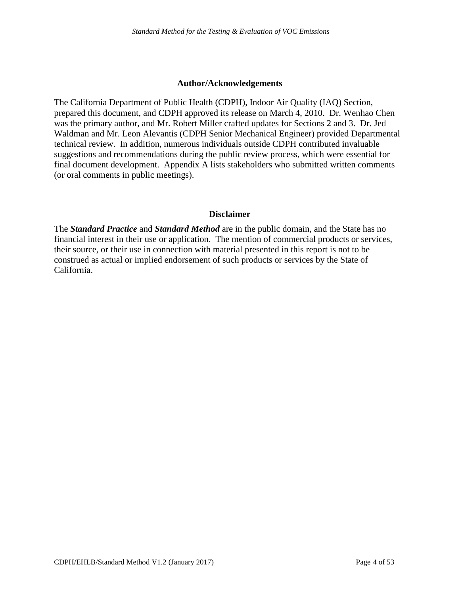#### **Author/Acknowledgements**

 suggestions and recommendations during the public review process, which were essential for The California Department of Public Health (CDPH), Indoor Air Quality (IAQ) Section, prepared this document, and CDPH approved its release on March 4, 2010. Dr. Wenhao Chen was the primary author, and Mr. Robert Miller crafted updates for Sections 2 and 3. Dr. Jed Waldman and Mr. Leon Alevantis (CDPH Senior Mechanical Engineer) provided Departmental technical review. In addition, numerous individuals outside CDPH contributed invaluable final document development. Appendix A lists stakeholders who submitted written comments (or oral comments in public meetings).

#### **Disclaimer**

 financial interest in their use or application. The mention of commercial products or services, The *Standard Practice* and *Standard Method* are in the public domain, and the State has no their source, or their use in connection with material presented in this report is not to be construed as actual or implied endorsement of such products or services by the State of California.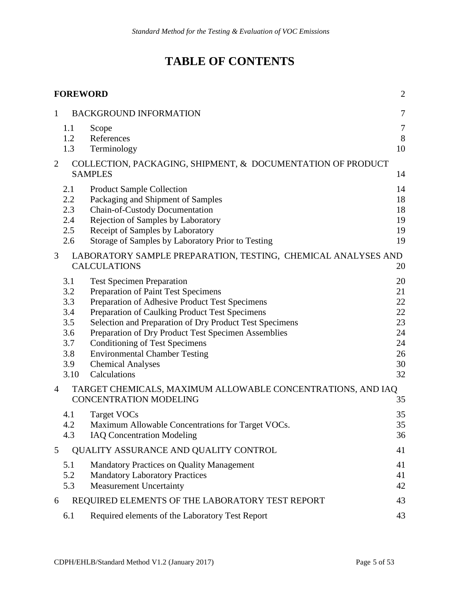## **TABLE OF CONTENTS**

|                | <b>FOREWORD</b>                                                     |                                                                                                                                                                                                                                                                                                                                                                                                                            | $\overline{2}$                                           |
|----------------|---------------------------------------------------------------------|----------------------------------------------------------------------------------------------------------------------------------------------------------------------------------------------------------------------------------------------------------------------------------------------------------------------------------------------------------------------------------------------------------------------------|----------------------------------------------------------|
| 1              |                                                                     | <b>BACKGROUND INFORMATION</b>                                                                                                                                                                                                                                                                                                                                                                                              | $\tau$                                                   |
|                | 1.1<br>1.2<br>1.3                                                   | Scope<br>References<br>Terminology                                                                                                                                                                                                                                                                                                                                                                                         | 7<br>$8\,$<br>10                                         |
| 2              |                                                                     | COLLECTION, PACKAGING, SHIPMENT, & DOCUMENTATION OF PRODUCT<br><b>SAMPLES</b>                                                                                                                                                                                                                                                                                                                                              | 14                                                       |
|                | 2.1<br>2.2<br>2.3<br>2.4<br>2.5<br>2.6                              | <b>Product Sample Collection</b><br>Packaging and Shipment of Samples<br>Chain-of-Custody Documentation<br>Rejection of Samples by Laboratory<br>Receipt of Samples by Laboratory<br>Storage of Samples by Laboratory Prior to Testing                                                                                                                                                                                     | 14<br>18<br>18<br>19<br>19<br>19                         |
| 3              |                                                                     | LABORATORY SAMPLE PREPARATION, TESTING, CHEMICAL ANALYSES AND<br><b>CALCULATIONS</b>                                                                                                                                                                                                                                                                                                                                       | 20                                                       |
|                | 3.1<br>3.2<br>3.3<br>3.4<br>3.5<br>3.6<br>3.7<br>3.8<br>3.9<br>3.10 | <b>Test Specimen Preparation</b><br>Preparation of Paint Test Specimens<br>Preparation of Adhesive Product Test Specimens<br>Preparation of Caulking Product Test Specimens<br>Selection and Preparation of Dry Product Test Specimens<br>Preparation of Dry Product Test Specimen Assemblies<br><b>Conditioning of Test Specimens</b><br><b>Environmental Chamber Testing</b><br><b>Chemical Analyses</b><br>Calculations | 20<br>21<br>22<br>22<br>23<br>24<br>24<br>26<br>30<br>32 |
| $\overline{4}$ |                                                                     | TARGET CHEMICALS, MAXIMUM ALLOWABLE CONCENTRATIONS, AND IAQ<br><b>CONCENTRATION MODELING</b>                                                                                                                                                                                                                                                                                                                               | 35                                                       |
|                | 4.1<br>4.2<br>4.3                                                   | Target VOCs<br>Maximum Allowable Concentrations for Target VOCs.<br><b>IAQ Concentration Modeling</b>                                                                                                                                                                                                                                                                                                                      | 35<br>35<br>36                                           |
| 5              |                                                                     | QUALITY ASSURANCE AND QUALITY CONTROL                                                                                                                                                                                                                                                                                                                                                                                      | 41                                                       |
|                | 5.1<br>5.2<br>5.3                                                   | <b>Mandatory Practices on Quality Management</b><br><b>Mandatory Laboratory Practices</b><br><b>Measurement Uncertainty</b>                                                                                                                                                                                                                                                                                                | 41<br>41<br>42                                           |
| 6              |                                                                     | REQUIRED ELEMENTS OF THE LABORATORY TEST REPORT                                                                                                                                                                                                                                                                                                                                                                            | 43                                                       |
|                | 6.1                                                                 | Required elements of the Laboratory Test Report                                                                                                                                                                                                                                                                                                                                                                            | 43                                                       |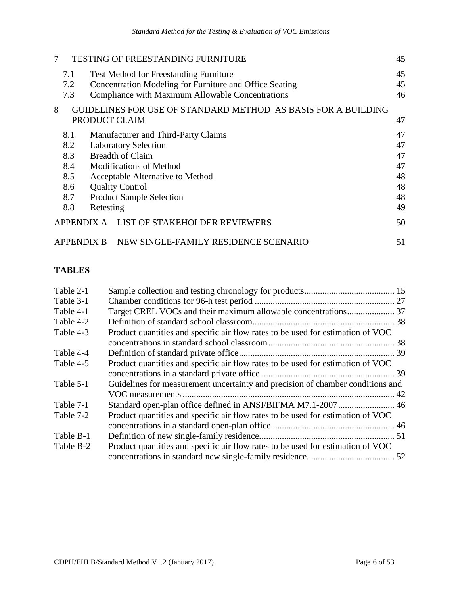| 7 |                                                                 | TESTING OF FREESTANDING FURNITURE                             | 45 |  |
|---|-----------------------------------------------------------------|---------------------------------------------------------------|----|--|
|   | 7.1                                                             | <b>Test Method for Freestanding Furniture</b>                 | 45 |  |
|   | 7.2                                                             | Concentration Modeling for Furniture and Office Seating       | 45 |  |
|   | 7.3                                                             | Compliance with Maximum Allowable Concentrations              | 46 |  |
| 8 |                                                                 | GUIDELINES FOR USE OF STANDARD METHOD AS BASIS FOR A BUILDING |    |  |
|   |                                                                 | PRODUCT CLAIM                                                 | 47 |  |
|   | 8.1                                                             | Manufacturer and Third-Party Claims                           | 47 |  |
|   | 8.2                                                             | <b>Laboratory Selection</b>                                   | 47 |  |
|   | 8.3                                                             | <b>Breadth of Claim</b>                                       | 47 |  |
|   | 8.4                                                             | <b>Modifications of Method</b>                                | 47 |  |
|   | 8.5                                                             | Acceptable Alternative to Method                              | 48 |  |
|   | 8.6                                                             | <b>Quality Control</b>                                        | 48 |  |
|   | 8.7                                                             | <b>Product Sample Selection</b>                               | 48 |  |
|   | 8.8                                                             | Retesting                                                     | 49 |  |
|   | APPENDIX A                                                      | LIST OF STAKEHOLDER REVIEWERS                                 | 50 |  |
|   | NEW SINGLE-FAMILY RESIDENCE SCENARIO<br><b>APPENDIX B</b><br>51 |                                                               |    |  |

#### **TABLES**

| Table 2-1 |                                                                                 |  |
|-----------|---------------------------------------------------------------------------------|--|
| Table 3-1 |                                                                                 |  |
| Table 4-1 | Target CREL VOCs and their maximum allowable concentrations 37                  |  |
| Table 4-2 |                                                                                 |  |
| Table 4-3 | Product quantities and specific air flow rates to be used for estimation of VOC |  |
|           |                                                                                 |  |
| Table 4-4 |                                                                                 |  |
| Table 4-5 | Product quantities and specific air flow rates to be used for estimation of VOC |  |
|           |                                                                                 |  |
| Table 5-1 | Guidelines for measurement uncertainty and precision of chamber conditions and  |  |
|           |                                                                                 |  |
| Table 7-1 | Standard open-plan office defined in ANSI/BIFMA M7.1-2007  46                   |  |
| Table 7-2 | Product quantities and specific air flow rates to be used for estimation of VOC |  |
|           |                                                                                 |  |
| Table B-1 |                                                                                 |  |
| Table B-2 | Product quantities and specific air flow rates to be used for estimation of VOC |  |
|           |                                                                                 |  |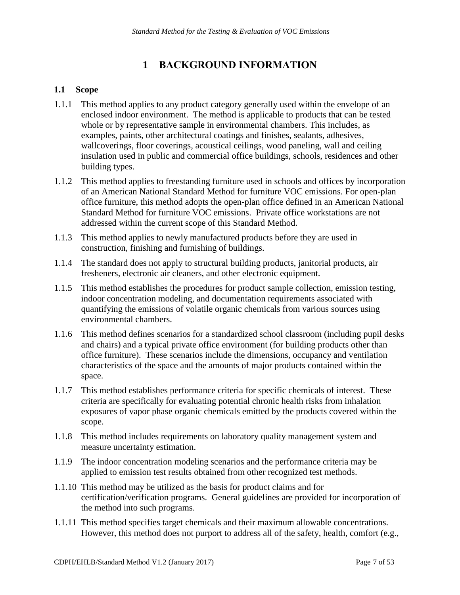### **1 BACKGROUND INFORMATION**

#### <span id="page-6-1"></span><span id="page-6-0"></span>**1.1 Scope**

- 1.1.1 This method applies to any product category generally used within the envelope of an enclosed indoor environment. The method is applicable to products that can be tested whole or by representative sample in environmental chambers. This includes, as examples, paints, other architectural coatings and finishes, sealants, adhesives, wallcoverings, floor coverings, acoustical ceilings, wood paneling, wall and ceiling insulation used in public and commercial office buildings, schools, residences and other building types.
- 1.1.2 This method applies to freestanding furniture used in schools and offices by incorporation of an American National Standard Method for furniture VOC emissions. For open-plan office furniture, this method adopts the open-plan office defined in an American National Standard Method for furniture VOC emissions. Private office workstations are not addressed within the current scope of this Standard Method.
- 1.1.3 This method applies to newly manufactured products before they are used in construction, finishing and furnishing of buildings.
- 1.1.4 The standard does not apply to structural building products, janitorial products, air fresheners, electronic air cleaners, and other electronic equipment.
- environmental chambers. 1.1.5 This method establishes the procedures for product sample collection, emission testing, indoor concentration modeling, and documentation requirements associated with quantifying the emissions of volatile organic chemicals from various sources using
- 1.1.6 This method defines scenarios for a standardized school classroom (including pupil desks and chairs) and a typical private office environment (for building products other than office furniture). These scenarios include the dimensions, occupancy and ventilation characteristics of the space and the amounts of major products contained within the space.
- 1.1.7 This method establishes performance criteria for specific chemicals of interest. These criteria are specifically for evaluating potential chronic health risks from inhalation exposures of vapor phase organic chemicals emitted by the products covered within the scope.
- 1.1.8 This method includes requirements on laboratory quality management system and measure uncertainty estimation.
- 1.1.9 The indoor concentration modeling scenarios and the performance criteria may be applied to emission test results obtained from other recognized test methods.
- 1.1.10 This method may be utilized as the basis for product claims and for certification/verification programs. General guidelines are provided for incorporation of the method into such programs.
- 1.1.11 This method specifies target chemicals and their maximum allowable concentrations. However, this method does not purport to address all of the safety, health, comfort (e.g.,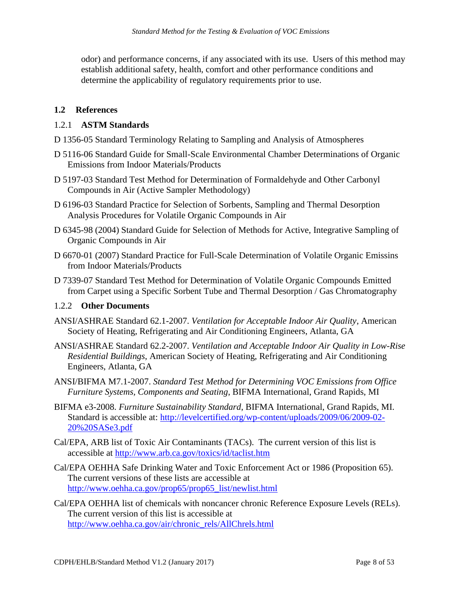odor) and performance concerns, if any associated with its use. Users of this method may determine the applicability of regulatory requirements prior to use. establish additional safety, health, comfort and other performance conditions and

#### <span id="page-7-0"></span>**1.2 References**

#### 1.2.1 **ASTM Standards**

- D 1356-05 Standard Terminology Relating to Sampling and Analysis of Atmospheres
- D 5116-06 Standard Guide for Small-Scale Environmental Chamber Determinations of Organic Emissions from Indoor Materials/Products
- D 5197-03 Standard Test Method for Determination of Formaldehyde and Other Carbonyl Compounds in Air (Active Sampler Methodology)
- D 6196-03 Standard Practice for Selection of Sorbents, Sampling and Thermal Desorption Analysis Procedures for Volatile Organic Compounds in Air
- D 6345-98 (2004) Standard Guide for Selection of Methods for Active, Integrative Sampling of Organic Compounds in Air
- D 6670-01 (2007) Standard Practice for Full-Scale Determination of Volatile Organic Emissins from Indoor Materials/Products
- D 7339-07 Standard Test Method for Determination of Volatile Organic Compounds Emitted from Carpet using a Specific Sorbent Tube and Thermal Desorption / Gas Chromatography

#### 1.2.2 **Other Documents**

- ANSI/ASHRAE Standard 62.1-2007. *Ventilation for Acceptable Indoor Air Quality*, American Society of Heating, Refrigerating and Air Conditioning Engineers, Atlanta, GA
- ANSI/ASHRAE Standard 62.2-2007. *Ventilation and Acceptable Indoor Air Quality in Low-Rise Residential Buildings*, American Society of Heating, Refrigerating and Air Conditioning Engineers, Atlanta, GA
- ANSI/BIFMA M7.1-2007. *Standard Test Method for Determining VOC Emissions from Office Furniture Systems, Components and Seating*, BIFMA International, Grand Rapids, MI
- BIFMA e3-2008. *Furniture Sustainability Standard*, BIFMA International, Grand Rapids, MI. Standard is accessible at: [http://levelcertified.org/wp-content/uploads/2009/06/2009-02-](http://levelcertified.org/wp-content/uploads/2009/06/2009-02-20%20SASe3.pdf) [20%20SASe3.pdf](http://levelcertified.org/wp-content/uploads/2009/06/2009-02-20%20SASe3.pdf)
- Cal/EPA, ARB list of Toxic Air Contaminants (TACs). The current version of this list is accessible at<http://www.arb.ca.gov/toxics/id/taclist.htm>
- Cal/EPA OEHHA Safe Drinking Water and Toxic Enforcement Act or 1986 (Proposition 65). The current versions of these lists are accessible at [http://www.oehha.ca.gov/prop65/prop65\\_list/newlist.html](http://www.oehha.ca.gov/prop65/prop65_list/newlist.html)
- Cal/EPA OEHHA list of chemicals with noncancer chronic Reference Exposure Levels (RELs). The current version of this list is accessible at [http://www.oehha.ca.gov/air/chronic\\_rels/AllChrels.html](http://www.oehha.ca.gov/air/chronic_rels/AllChrels.html)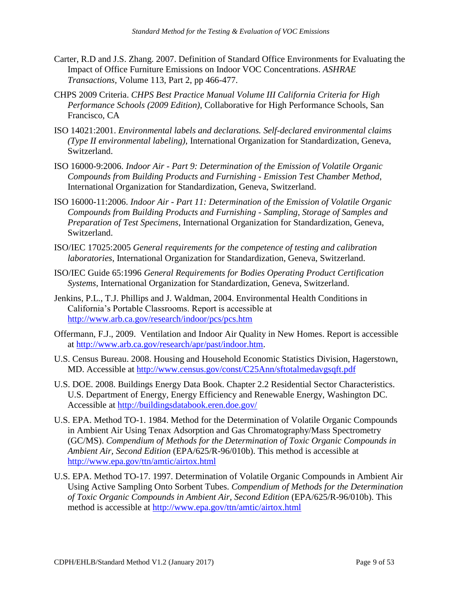- Carter, R.D and J.S. Zhang. 2007. Definition of Standard Office Environments for Evaluating the Impact of Office Furniture Emissions on Indoor VOC Concentrations. *ASHRAE Transactions,* Volume 113, Part 2, pp 466-477.
- CHPS 2009 Criteria. *CHPS Best Practice Manual Volume III California Criteria for High Performance Schools (2009 Edition)*, Collaborative for High Performance Schools, San Francisco, CA
- ISO 14021:2001. *Environmental labels and declarations. Self-declared environmental claims (Type II environmental labeling)*, International Organization for Standardization, Geneva, Switzerland.
- ISO 16000-9:2006. *Indoor Air Part 9: Determination of the Emission of Volatile Organic Compounds from Building Products and Furnishing - Emission Test Chamber Method*, International Organization for Standardization, Geneva, Switzerland.
- ISO 16000-11:2006. *Indoor Air - Part 11: Determination of the Emission of Volatile Organic Compounds from Building Products and Furnishing - Sampling, Storage of Samples and Preparation of Test Specimens*, International Organization for Standardization, Geneva, Switzerland.
- ISO/IEC 17025:2005 *General requirements for the competence of testing and calibration laboratories*, International Organization for Standardization, Geneva, Switzerland.
- ISO/IEC Guide 65:1996 *General Requirements for Bodies Operating Product Certification Systems*, International Organization for Standardization, Geneva, Switzerland.
- Jenkins, P.L., T.J. Phillips and J. Waldman, 2004. Environmental Health Conditions in California's Portable Classrooms. Report is accessible at <http://www.arb.ca.gov/research/indoor/pcs/pcs.htm>
- Offermann, F.J., 2009. Ventilation and Indoor Air Quality in New Homes. Report is accessible at [http://www.arb.ca.gov/research/apr/past/indoor.htm.](http://www.arb.ca.gov/research/apr/past/indoor.htm)
- U.S. Census Bureau. 2008. Housing and Household Economic Statistics Division, Hagerstown, MD. Accessible at<http://www.census.gov/const/C25Ann/sftotalmedavgsqft.pdf>
- U.S. DOE. 2008. Buildings Energy Data Book. Chapter 2.2 Residential Sector Characteristics. U.S. Department of Energy, Energy Efficiency and Renewable Energy, Washington DC. Accessible at<http://buildingsdatabook.eren.doe.gov/>
- http://www.epa.gov/ttn/amtic/airtox.html U.S. EPA. Method TO-1. 1984. Method for the Determination of Volatile Organic Compounds in Ambient Air Using Tenax Adsorption and Gas Chromatography/Mass Spectrometry (GC/MS). *Compendium of Methods for the Determination of Toxic Organic Compounds in Ambient Air, Second Edition* (EPA/625/R-96/010b). This method is accessible at
- method is accessible at http://www.epa.gov/ttn/amtic/airtox.html U.S. EPA. Method TO-17. 1997. Determination of Volatile Organic Compounds in Ambient Air Using Active Sampling Onto Sorbent Tubes. *Compendium of Methods for the Determination of Toxic Organic Compounds in Ambient Air, Second Edition* (EPA/625/R-96/010b). This method is accessible at http://www.epa.gov/ttn/amtic/airtox.html<br>CDPH/EHLB/Standard Method V1.2 (January 2017) Page 9 of 53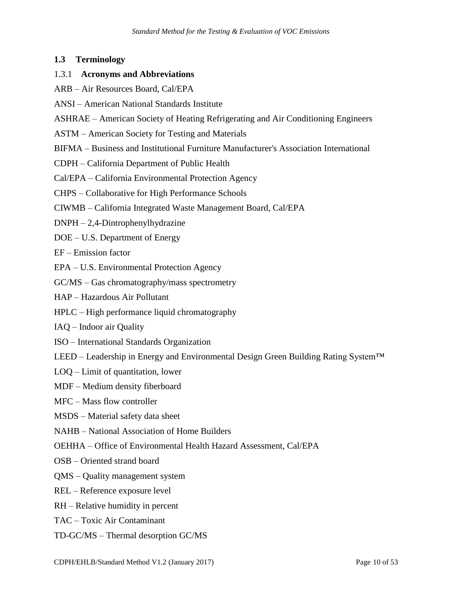#### <span id="page-9-0"></span>**1.3 Terminology**

#### 1.3.1 **Acronyms and Abbreviations**

- ARB Air Resources Board, Cal/EPA
- ANSI American National Standards Institute
- ASHRAE American Society of Heating Refrigerating and Air Conditioning Engineers
- ASTM American Society for Testing and Materials
- BIFMA Business and Institutional Furniture Manufacturer's Association International
- CDPH California Department of Public Health
- Cal/EPA California Environmental Protection Agency
- CHPS Collaborative for High Performance Schools
- CIWMB California Integrated Waste Management Board, Cal/EPA
- DNPH 2,4-Dintrophenylhydrazine
- DOE U.S. Department of Energy
- EF Emission factor
- EPA U.S. Environmental Protection Agency
- GC/MS Gas chromatography/mass spectrometry
- HAP Hazardous Air Pollutant
- HPLC High performance liquid chromatography
- IAQ Indoor air Quality
- ISO International Standards Organization
- LEED Leadership in Energy and Environmental Design Green Building Rating System™
- LOQ Limit of quantitation, lower
- MDF Medium density fiberboard
- MFC Mass flow controller
- MSDS Material safety data sheet
- NAHB National Association of Home Builders
- OEHHA Office of Environmental Health Hazard Assessment, Cal/EPA
- OSB Oriented strand board
- QMS Quality management system
- REL Reference exposure level
- RH Relative humidity in percent
- TAC Toxic Air Contaminant
- TD-GC/MS Thermal desorption GC/MS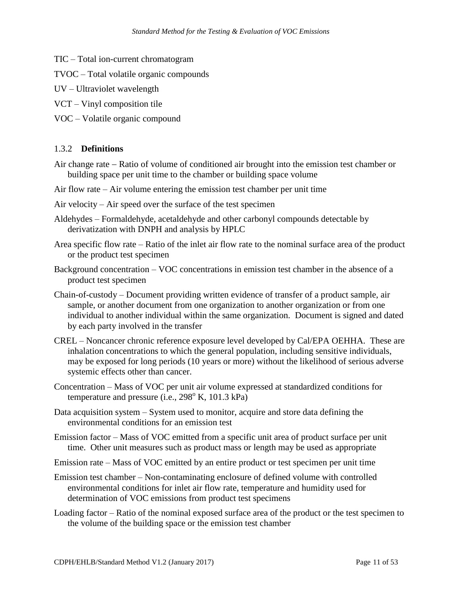- TIC Total ion-current chromatogram
- TVOC Total volatile organic compounds
- UV Ultraviolet wavelength
- VCT Vinyl composition tile
- VOC Volatile organic compound

#### 1.3.2 **Definitions**

- Air change rate Ratio of volume of conditioned air brought into the emission test chamber or building space per unit time to the chamber or building space volume
- Air flow rate Air volume entering the emission test chamber per unit time
- Air velocity Air speed over the surface of the test specimen
- Aldehydes Formaldehyde, acetaldehyde and other carbonyl compounds detectable by derivatization with DNPH and analysis by HPLC
- Area specific flow rate Ratio of the inlet air flow rate to the nominal surface area of the product or the product test specimen
- Background concentration VOC concentrations in emission test chamber in the absence of a product test specimen
- Chain-of-custody Document providing written evidence of transfer of a product sample, air sample, or another document from one organization to another organization or from one individual to another individual within the same organization. Document is signed and dated by each party involved in the transfer
- CREL Noncancer chronic reference exposure level developed by Cal/EPA OEHHA. These are inhalation concentrations to which the general population, including sensitive individuals, may be exposed for long periods (10 years or more) without the likelihood of serious adverse systemic effects other than cancer.
- Concentration Mass of VOC per unit air volume expressed at standardized conditions for temperature and pressure (i.e.,  $298^{\circ}$  K, 101.3 kPa)
- Data acquisition system System used to monitor, acquire and store data defining the environmental conditions for an emission test
- Emission factor Mass of VOC emitted from a specific unit area of product surface per unit time. Other unit measures such as product mass or length may be used as appropriate
- Emission rate Mass of VOC emitted by an entire product or test specimen per unit time
- Emission test chamber Non-contaminating enclosure of defined volume with controlled environmental conditions for inlet air flow rate, temperature and humidity used for determination of VOC emissions from product test specimens
- Loading factor Ratio of the nominal exposed surface area of the product or the test specimen to the volume of the building space or the emission test chamber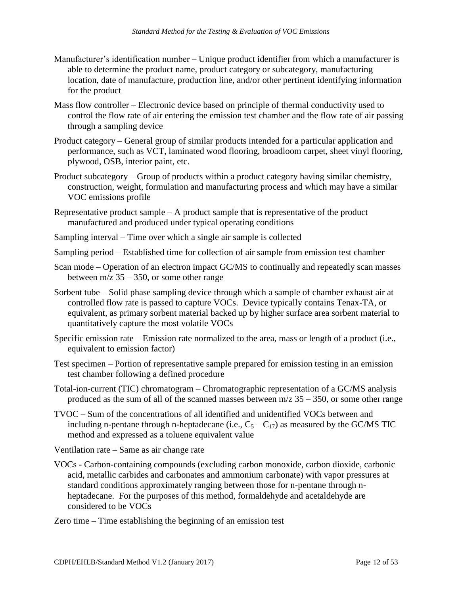- Manufacturer's identification number Unique product identifier from which a manufacturer is able to determine the product name, product category or subcategory, manufacturing location, date of manufacture, production line, and/or other pertinent identifying information for the product
- Mass flow controller Electronic device based on principle of thermal conductivity used to control the flow rate of air entering the emission test chamber and the flow rate of air passing through a sampling device
- Product category General group of similar products intended for a particular application and performance, such as VCT, laminated wood flooring, broadloom carpet, sheet vinyl flooring, plywood, OSB, interior paint, etc.
- Product subcategory Group of products within a product category having similar chemistry, VOC emissions profile construction, weight, formulation and manufacturing process and which may have a similar
- VOC emissions profile<br>Representative product sample A product sample that is representative of the product manufactured and produced under typical operating conditions
- Sampling interval Time over which a single air sample is collected
- Sampling period Established time for collection of air sample from emission test chamber
- Scan mode Operation of an electron impact GC/MS to continually and repeatedly scan masses between  $m/z$  35 – 350, or some other range
- Sorbent tube Solid phase sampling device through which a sample of chamber exhaust air at controlled flow rate is passed to capture VOCs. Device typically contains Tenax-TA, or equivalent, as primary sorbent material backed up by higher surface area sorbent material to quantitatively capture the most volatile VOCs
- Specific emission rate Emission rate normalized to the area, mass or length of a product (i.e., equivalent to emission factor)
- Test specimen Portion of representative sample prepared for emission testing in an emission test chamber following a defined procedure
- Total-ion-current (TIC) chromatogram Chromatographic representation of a GC/MS analysis produced as the sum of all of the scanned masses between  $m/z$  35 – 350, or some other range
- TVOC Sum of the concentrations of all identified and unidentified VOCs between and including n-pentane through n-heptadecane (i.e.,  $C_5 - C_{17}$ ) as measured by the GC/MS TIC method and expressed as a toluene equivalent value

Ventilation rate – Same as air change rate

- heptadecane. For the purposes of this method, formaldehyde and acetaldehyde are VOCs - Carbon-containing compounds (excluding carbon monoxide, carbon dioxide, carbonic acid, metallic carbides and carbonates and ammonium carbonate) with vapor pressures at standard conditions approximately ranging between those for n-pentane through nconsidered to be VOCs
- Zero time Time establishing the beginning of an emission test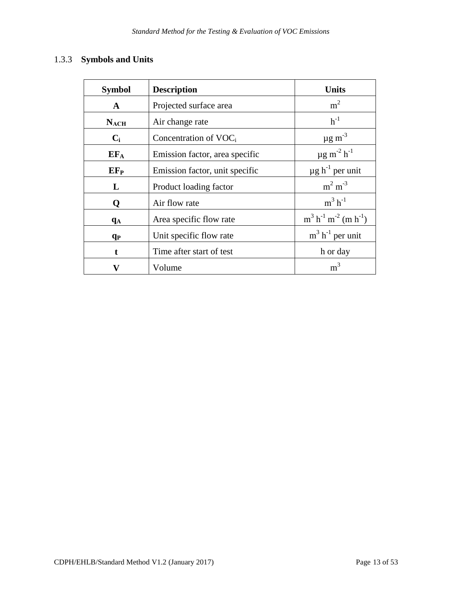#### 1.3.3 **Symbols and Units**

| <b>Symbol</b>         | <b>Description</b>             | <b>Units</b>                            |
|-----------------------|--------------------------------|-----------------------------------------|
| $\mathbf{A}$          | Projected surface area         | m <sup>2</sup>                          |
| $N_{\text{ACH}}$      | Air change rate                | $h^{-1}$                                |
| $C_i$                 | Concentration of $VOCi$        | $\mu$ g m <sup>-3</sup>                 |
| $EF_A$                | Emission factor, area specific | $\mu$ g m <sup>-2</sup> h <sup>-1</sup> |
| $EF_{P}$              | Emission factor, unit specific | $\mu$ g h <sup>-1</sup> per unit        |
| L                     | Product loading factor         | $m2 m-3$                                |
| Q                     | Air flow rate                  | $m^3$ h <sup>-1</sup>                   |
| q <sub>А</sub>        | Area specific flow rate        | $m^3 h^{-1} m^{-2} (m h^{-1})$          |
| <b>q</b> <sub>P</sub> | Unit specific flow rate        | $m^3$ h <sup>-1</sup> per unit          |
| t                     | Time after start of test       | h or day                                |
| v                     | Volume                         | m <sup>3</sup>                          |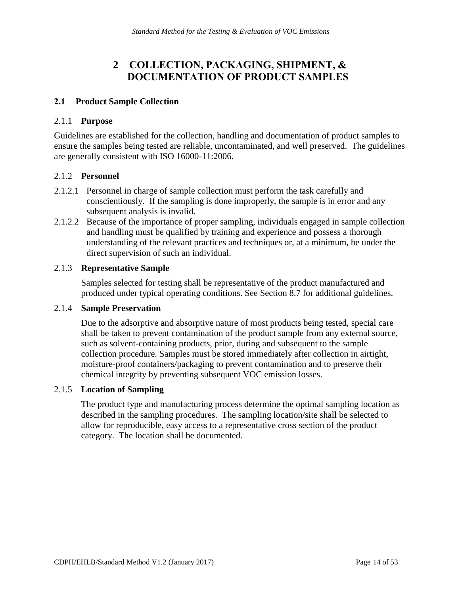# **<sup>2</sup>COLLECTION, PACKAGING, SHIPMENT, & DOCUMENTATION OF PRODUCT SAMPLES**

#### <span id="page-13-1"></span><span id="page-13-0"></span>**2.1 Product Sample Collection**

#### 2.1.1 **Purpose**

 ensure the samples being tested are reliable, uncontaminated, and well preserved. The guidelines are generally consistent with ISO 16000-11:2006. Guidelines are established for the collection, handling and documentation of product samples to

#### 2.1.2 **Personnel**

- conscientiously. If the sampling is done improperly, the sample is in error and any 2.1.2.1 Personnel in charge of sample collection must perform the task carefully and subsequent analysis is invalid.
- 2.1.2.2 Because of the importance of proper sampling, individuals engaged in sample collection and handling must be qualified by training and experience and possess a thorough understanding of the relevant practices and techniques or, at a minimum, be under the direct supervision of such an individual.

#### 2.1.3 **Representative Sample**

Samples selected for testing shall be representative of the product manufactured and produced under typical operating conditions. See Section 8.7 for additional guidelines.

#### 2.1.4 **Sample Preservation**

Due to the adsorptive and absorptive nature of most products being tested, special care shall be taken to prevent contamination of the product sample from any external source, such as solvent-containing products, prior, during and subsequent to the sample collection procedure. Samples must be stored immediately after collection in airtight, moisture-proof containers/packaging to prevent contamination and to preserve their chemical integrity by preventing subsequent VOC emission losses.

#### 2.1.5 **Location of Sampling**

The product type and manufacturing process determine the optimal sampling location as described in the sampling procedures. The sampling location/site shall be selected to allow for reproducible, easy access to a representative cross section of the product category. The location shall be documented.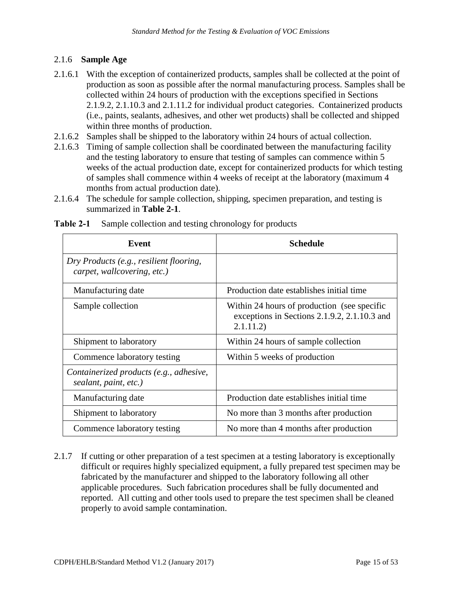#### 2.1.6 **Sample Age**

- 2.1.6.1 With the exception of containerized products, samples shall be collected at the point of production as soon as possible after the normal manufacturing process. Samples shall be collected within 24 hours of production with the exceptions specified in Sections 2.1.9.2, 2.1.10.3 and 2.1.11.2 for individual product categories. Containerized products (i.e., paints, sealants, adhesives, and other wet products) shall be collected and shipped within three months of production.
- 2.1.6.2 Samples shall be shipped to the laboratory within 24 hours of actual collection.
- 2.1.6.3 Timing of sample collection shall be coordinated between the manufacturing facility and the testing laboratory to ensure that testing of samples can commence within 5 weeks of the actual production date, except for containerized products for which testing of samples shall commence within 4 weeks of receipt at the laboratory (maximum 4 months from actual production date).
- 2.1.6.4 The schedule for sample collection, shipping, specimen preparation, and testing is summarized in **Table 2-1**.

| Event                                                                  | <b>Schedule</b>                                                                                          |
|------------------------------------------------------------------------|----------------------------------------------------------------------------------------------------------|
| Dry Products (e.g., resilient flooring,<br>carpet, wallcovering, etc.) |                                                                                                          |
| Manufacturing date                                                     | Production date establishes initial time                                                                 |
| Sample collection                                                      | Within 24 hours of production (see specific<br>exceptions in Sections 2.1.9.2, 2.1.10.3 and<br>2.1.11.2) |
| Shipment to laboratory                                                 | Within 24 hours of sample collection                                                                     |
| Commence laboratory testing                                            | Within 5 weeks of production                                                                             |
| Containerized products (e.g., adhesive,<br>sealant, paint, etc.)       |                                                                                                          |
| Manufacturing date                                                     | Production date establishes initial time                                                                 |
| Shipment to laboratory                                                 | No more than 3 months after production                                                                   |
| Commence laboratory testing                                            | No more than 4 months after production                                                                   |

<span id="page-14-0"></span>**Table 2-1** Sample collection and testing chronology for products

 fabricated by the manufacturer and shipped to the laboratory following all other 2.1.7 If cutting or other preparation of a test specimen at a testing laboratory is exceptionally difficult or requires highly specialized equipment, a fully prepared test specimen may be applicable procedures. Such fabrication procedures shall be fully documented and reported. All cutting and other tools used to prepare the test specimen shall be cleaned properly to avoid sample contamination.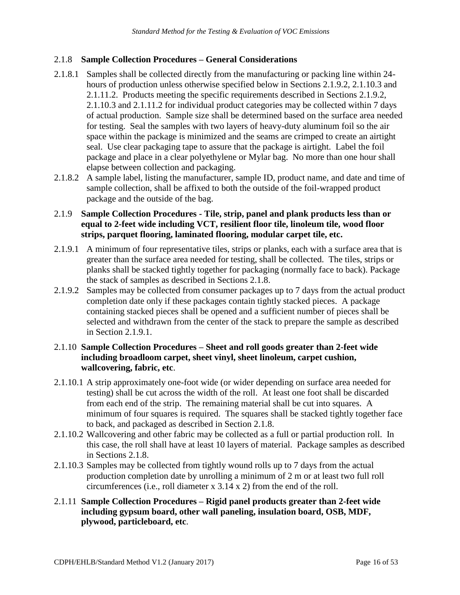#### 2.1.8 **Sample Collection Procedures – General Considerations**

- 2.1.8.1 Samples shall be collected directly from the manufacturing or packing line within 24 hours of production unless otherwise specified below in Sections 2.1.9.2, 2.1.10.3 and 2.1.11.2. Products meeting the specific requirements described in Sections 2.1.9.2, 2.1.10.3 and 2.1.11.2 for individual product categories may be collected within 7 days of actual production. Sample size shall be determined based on the surface area needed for testing. Seal the samples with two layers of heavy-duty aluminum foil so the air space within the package is minimized and the seams are crimped to create an airtight seal. Use clear packaging tape to assure that the package is airtight. Label the foil package and place in a clear polyethylene or Mylar bag. No more than one hour shall elapse between collection and packaging.
- package and the outside of the bag. 2.1.8.2 A sample label, listing the manufacturer, sample ID, product name, and date and time of sample collection, shall be affixed to both the outside of the foil-wrapped product

#### 2.1.9 **Sample Collection Procedures - Tile, strip, panel and plank products less than or equal to 2-feet wide including VCT, resilient floor tile, linoleum tile, wood floor strips, parquet flooring, laminated flooring, modular carpet tile, etc.**

- 2.1.9.1 A minimum of four representative tiles, strips or planks, each with a surface area that is greater than the surface area needed for testing, shall be collected. The tiles, strips or planks shall be stacked tightly together for packaging (normally face to back). Package the stack of samples as described in Sections 2.1.8.
- 2.1.9.2 Samples may be collected from consumer packages up to 7 days from the actual product completion date only if these packages contain tightly stacked pieces. A package containing stacked pieces shall be opened and a sufficient number of pieces shall be selected and withdrawn from the center of the stack to prepare the sample as described in Section 2.1.9.1.

#### 2.1.10 **Sample Collection Procedures – Sheet and roll goods greater than 2-feet wide including broadloom carpet, sheet vinyl, sheet linoleum, carpet cushion, wallcovering, fabric, etc**.

- 2.1.10.1 A strip approximately one-foot wide (or wider depending on surface area needed for testing) shall be cut across the width of the roll. At least one foot shall be discarded from each end of the strip. The remaining material shall be cut into squares. A minimum of four squares is required. The squares shall be stacked tightly together face to back, and packaged as described in Section 2.1.8.
- 2.1.10.2 Wallcovering and other fabric may be collected as a full or partial production roll. In this case, the roll shall have at least 10 layers of material. Package samples as described in Sections 2.1.8.
- 2.1.10.3 Samples may be collected from tightly wound rolls up to 7 days from the actual production completion date by unrolling a minimum of 2 m or at least two full roll circumferences (i.e., roll diameter x 3.14 x 2) from the end of the roll.
- 2.1.11 **Sample Collection Procedures – Rigid panel products greater than 2-feet wide including gypsum board, other wall paneling, insulation board, OSB, MDF, plywood, particleboard, etc**.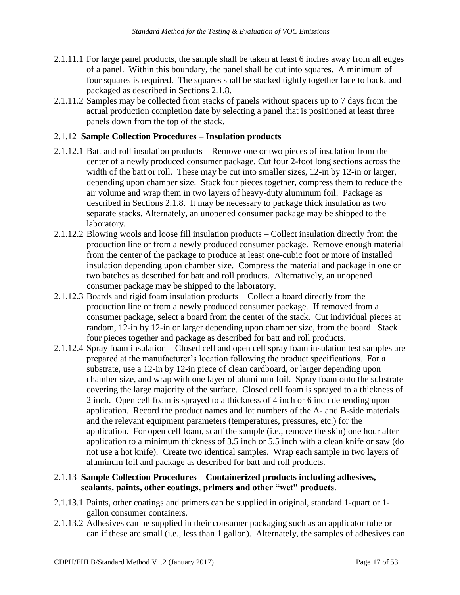- 2.1.11.1 For large panel products, the sample shall be taken at least 6 inches away from all edges of a panel. Within this boundary, the panel shall be cut into squares. A minimum of four squares is required. The squares shall be stacked tightly together face to back, and packaged as described in Sections 2.1.8.
- 2.1.11.2 Samples may be collected from stacks of panels without spacers up to 7 days from the actual production completion date by selecting a panel that is positioned at least three panels down from the top of the stack.

#### 2.1.12 **Sample Collection Procedures – Insulation products**

- 2.1.12.1 Batt and roll insulation products Remove one or two pieces of insulation from the center of a newly produced consumer package. Cut four 2-foot long sections across the width of the batt or roll. These may be cut into smaller sizes, 12-in by 12-in or larger, depending upon chamber size. Stack four pieces together, compress them to reduce the air volume and wrap them in two layers of heavy-duty aluminum foil. Package as described in Sections 2.1.8. It may be necessary to package thick insulation as two separate stacks. Alternately, an unopened consumer package may be shipped to the laboratory.
- consumer package may be shipped to the laboratory. 2.1.12.2 Blowing wools and loose fill insulation products – Collect insulation directly from the production line or from a newly produced consumer package. Remove enough material from the center of the package to produce at least one-cubic foot or more of installed insulation depending upon chamber size. Compress the material and package in one or two batches as described for batt and roll products. Alternatively, an unopened
- 2.1.12.3 Boards and rigid foam insulation products Collect a board directly from the production line or from a newly produced consumer package. If removed from a consumer package, select a board from the center of the stack. Cut individual pieces at random, 12-in by 12-in or larger depending upon chamber size, from the board. Stack four pieces together and package as described for batt and roll products.
- 2.1.12.4 Spray foam insulation Closed cell and open cell spray foam insulation test samples are prepared at the manufacturer's location following the product specifications. For a substrate, use a 12-in by 12-in piece of clean cardboard, or larger depending upon chamber size, and wrap with one layer of aluminum foil. Spray foam onto the substrate covering the large majority of the surface. Closed cell foam is sprayed to a thickness of 2 inch. Open cell foam is sprayed to a thickness of 4 inch or 6 inch depending upon application. Record the product names and lot numbers of the A- and B-side materials and the relevant equipment parameters (temperatures, pressures, etc.) for the application. For open cell foam, scarf the sample (i.e., remove the skin) one hour after application to a minimum thickness of 3.5 inch or 5.5 inch with a clean knife or saw (do not use a hot knife). Create two identical samples. Wrap each sample in two layers of aluminum foil and package as described for batt and roll products.

#### 2.1.13 **Sample Collection Procedures – Containerized products including adhesives, sealants, paints, other coatings, primers and other "wet" products**.

- 2.1.13.1 Paints, other coatings and primers can be supplied in original, standard 1-quart or 1 gallon consumer containers.
- 2.1.13.2 Adhesives can be supplied in their consumer packaging such as an applicator tube or can if these are small (i.e., less than 1 gallon). Alternately, the samples of adhesives can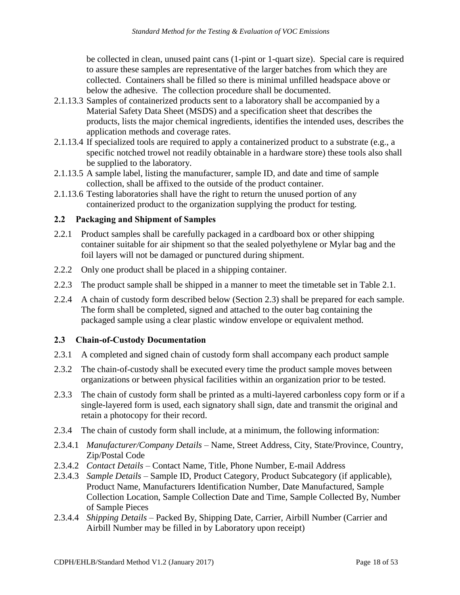be collected in clean, unused paint cans (1-pint or 1-quart size). Special care is required to assure these samples are representative of the larger batches from which they are collected. Containers shall be filled so there is minimal unfilled headspace above or below the adhesive. The collection procedure shall be documented.

- 2.1.13.3 Samples of containerized products sent to a laboratory shall be accompanied by a Material Safety Data Sheet (MSDS) and a specification sheet that describes the products, lists the major chemical ingredients, identifies the intended uses, describes the application methods and coverage rates.
- 2.1.13.4 If specialized tools are required to apply a containerized product to a substrate (e.g., a specific notched trowel not readily obtainable in a hardware store) these tools also shall be supplied to the laboratory.
- 2.1.13.5 A sample label, listing the manufacturer, sample ID, and date and time of sample collection, shall be affixed to the outside of the product container.
- 2.1.13.6 Testing laboratories shall have the right to return the unused portion of any containerized product to the organization supplying the product for testing.

#### <span id="page-17-0"></span>**2.2 Packaging and Shipment of Samples**

- 2.2.1 Product samples shall be carefully packaged in a cardboard box or other shipping container suitable for air shipment so that the sealed polyethylene or Mylar bag and the foil layers will not be damaged or punctured during shipment.
- 2.2.2 Only one product shall be placed in a shipping container.
- 2.2.3 The product sample shall be shipped in a manner to meet the timetable set in Table 2.1.
- 2.2.4 A chain of custody form described below (Section 2.3) shall be prepared for each sample. The form shall be completed, signed and attached to the outer bag containing the packaged sample using a clear plastic window envelope or equivalent method.

#### <span id="page-17-1"></span>**2.3 Chain-of-Custody Documentation**

- 2.3.1 A completed and signed chain of custody form shall accompany each product sample
- 2.3.2 The chain-of-custody shall be executed every time the product sample moves between organizations or between physical facilities within an organization prior to be tested.
- 2.3.3 The chain of custody form shall be printed as a multi-layered carbonless copy form or if a single-layered form is used, each signatory shall sign, date and transmit the original and retain a photocopy for their record.
- 2.3.4 The chain of custody form shall include, at a minimum, the following information:
- 2.3.4.1 *Manufacturer/Company Details*  Name, Street Address, City, State/Province, Country, Zip/Postal Code
- 2.3.4.2 *Contact Details*  Contact Name, Title, Phone Number, E-mail Address
- 2.3.4.3 *Sample Details*  Sample ID, Product Category, Product Subcategory (if applicable), Product Name, Manufacturers Identification Number, Date Manufactured, Sample Collection Location, Sample Collection Date and Time, Sample Collected By, Number of Sample Pieces
- 2.3.4.4 *Shipping Details*  Packed By, Shipping Date, Carrier, Airbill Number (Carrier and Airbill Number may be filled in by Laboratory upon receipt)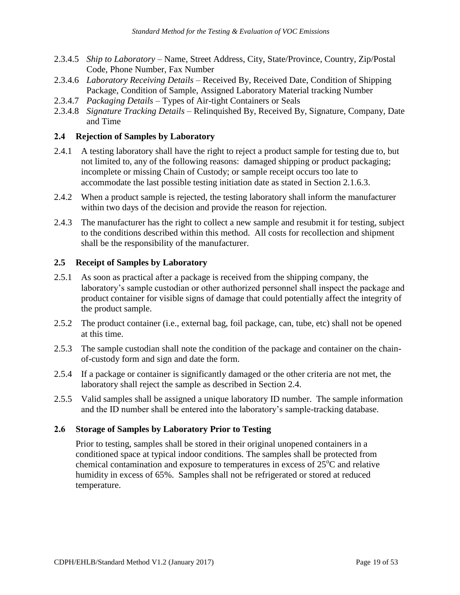- 2.3.4.5 *Ship to Laboratory*  Name, Street Address, City, State/Province, Country, Zip/Postal Code, Phone Number, Fax Number
- 2.3.4.6 *Laboratory Receiving Details*  Received By, Received Date, Condition of Shipping Package, Condition of Sample, Assigned Laboratory Material tracking Number
- 2.3.4.7 *Packaging Details*  Types of Air-tight Containers or Seals
- 2.3.4.8 *Signature Tracking Details*  Relinquished By, Received By, Signature, Company, Date and Time

#### <span id="page-18-0"></span>**2.4 Rejection of Samples by Laboratory**

- 2.4.1 A testing laboratory shall have the right to reject a product sample for testing due to, but not limited to, any of the following reasons: damaged shipping or product packaging; incomplete or missing Chain of Custody; or sample receipt occurs too late to accommodate the last possible testing initiation date as stated in Section 2.1.6.3.
- 2.4.2 When a product sample is rejected, the testing laboratory shall inform the manufacturer within two days of the decision and provide the reason for rejection.
- 2.4.3 The manufacturer has the right to collect a new sample and resubmit it for testing, subject to the conditions described within this method. All costs for recollection and shipment shall be the responsibility of the manufacturer.

#### <span id="page-18-1"></span> **2.5 Receipt of Samples by Laboratory**

- 2.5.1 As soon as practical after a package is received from the shipping company, the laboratory's sample custodian or other authorized personnel shall inspect the package and product container for visible signs of damage that could potentially affect the integrity of the product sample.
- 2.5.2 The product container (i.e., external bag, foil package, can, tube, etc) shall not be opened at this time.
- 2.5.3 The sample custodian shall note the condition of the package and container on the chainof-custody form and sign and date the form.
- 2.5.4 If a package or container is significantly damaged or the other criteria are not met, the laboratory shall reject the sample as described in Section 2.4.
- 2.5.5 Valid samples shall be assigned a unique laboratory ID number. The sample information and the ID number shall be entered into the laboratory's sample-tracking database.

#### <span id="page-18-2"></span>**2.6 Storage of Samples by Laboratory Prior to Testing**

Prior to testing, samples shall be stored in their original unopened containers in a conditioned space at typical indoor conditions. The samples shall be protected from chemical contamination and exposure to temperatures in excess of  $25^{\circ}$ C and relative humidity in excess of 65%. Samples shall not be refrigerated or stored at reduced temperature.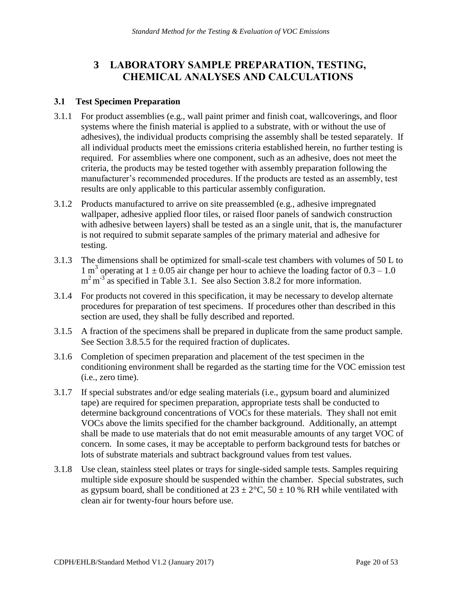#### <span id="page-19-0"></span>**3 LABORATORY SAMPLE PREPARATION, TESTING, CHEMICAL ANALYSES AND CALCULATIONS**

#### <span id="page-19-1"></span>**3.1 Test Specimen Preparation**

- 3.1.1 For product assemblies (e.g., wall paint primer and finish coat, wallcoverings, and floor systems where the finish material is applied to a substrate, with or without the use of adhesives), the individual products comprising the assembly shall be tested separately. If all individual products meet the emissions criteria established herein, no further testing is required. For assemblies where one component, such as an adhesive, does not meet the criteria, the products may be tested together with assembly preparation following the manufacturer's recommended procedures. If the products are tested as an assembly, test results are only applicable to this particular assembly configuration.
- 3.1.2 Products manufactured to arrive on site preassembled (e.g., adhesive impregnated wallpaper, adhesive applied floor tiles, or raised floor panels of sandwich construction with adhesive between layers) shall be tested as an a single unit, that is, the manufacturer is not required to submit separate samples of the primary material and adhesive for testing.
- 3.1.3 The dimensions shall be optimized for small-scale test chambers with volumes of 50 L to 1 m<sup>3</sup> operating at  $1 \pm 0.05$  air change per hour to achieve the loading factor of  $0.3 - 1.0$ m<sup>2</sup> m<sup>-3</sup> as specified in Table 3.1. See also Section 3.8.2 for more information.
- 3.1.4 For products not covered in this specification, it may be necessary to develop alternate procedures for preparation of test specimens. If procedures other than described in this section are used, they shall be fully described and reported.
- 3.1.5 A fraction of the specimens shall be prepared in duplicate from the same product sample. See Section 3.8.5.5 for the required fraction of duplicates.
- 3.1.6 Completion of specimen preparation and placement of the test specimen in the conditioning environment shall be regarded as the starting time for the VOC emission test (i.e., zero time).
- 3.1.7 If special substrates and/or edge sealing materials (i.e., gypsum board and aluminized tape) are required for specimen preparation, appropriate tests shall be conducted to determine background concentrations of VOCs for these materials. They shall not emit VOCs above the limits specified for the chamber background. Additionally, an attempt shall be made to use materials that do not emit measurable amounts of any target VOC of concern. In some cases, it may be acceptable to perform background tests for batches or lots of substrate materials and subtract background values from test values.
- 3.1.8 Use clean, stainless steel plates or trays for single-sided sample tests. Samples requiring multiple side exposure should be suspended within the chamber. Special substrates, such as gypsum board, shall be conditioned at  $23 \pm 2$ °C,  $50 \pm 10$  % RH while ventilated with clean air for twenty-four hours before use.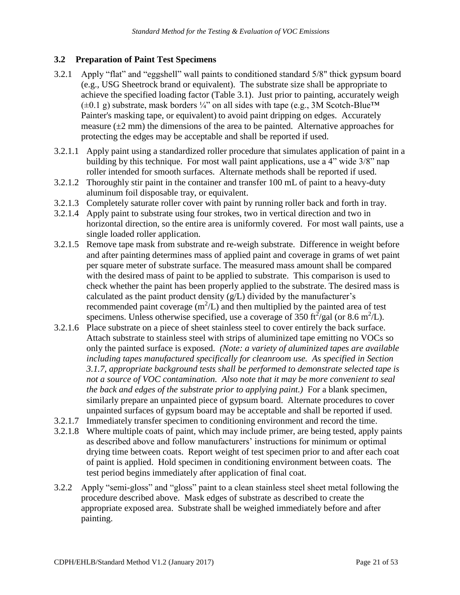#### <span id="page-20-0"></span>**3.2 Preparation of Paint Test Specimens**

- protecting the edges may be acceptable and shall be reported if used. 3.2.1 Apply "flat" and "eggshell" wall paints to conditioned standard 5/8" thick gypsum board (e.g., USG Sheetrock brand or equivalent). The substrate size shall be appropriate to achieve the specified loading factor (Table 3.1). Just prior to painting, accurately weigh  $(±0.1 g)$  substrate, mask borders ¼" on all sides with tape (e.g., 3M Scotch-Blue<sup>TM</sup>) Painter's masking tape, or equivalent) to avoid paint dripping on edges. Accurately measure  $(\pm 2 \text{ mm})$  the dimensions of the area to be painted. Alternative approaches for
- roller intended for smooth surfaces. Alternate methods shall be reported if used. 3.2.1.1 Apply paint using a standardized roller procedure that simulates application of paint in a building by this technique. For most wall paint applications, use a 4" wide 3/8" nap
- 3.2.1.2 Thoroughly stir paint in the container and transfer 100 mL of paint to a heavy-duty aluminum foil disposable tray, or equivalent.
- 3.2.1.3 Completely saturate roller cover with paint by running roller back and forth in tray.
- 3.2.1.4 Apply paint to substrate using four strokes, two in vertical direction and two in horizontal direction, so the entire area is uniformly covered. For most wall paints, use a single loaded roller application.
- 3.2.1.5 Remove tape mask from substrate and re-weigh substrate. Difference in weight before and after painting determines mass of applied paint and coverage in grams of wet paint per square meter of substrate surface. The measured mass amount shall be compared with the desired mass of paint to be applied to substrate. This comparison is used to check whether the paint has been properly applied to the substrate. The desired mass is calculated as the paint product density  $(g/L)$  divided by the manufacturer's recommended paint coverage  $(m^2/L)$  and then multiplied by the painted area of test specimens. Unless otherwise specified, use a coverage of 350 ft<sup>2</sup>/gal (or 8.6 m<sup>2</sup>/L).
- *the back and edges of the substrate prior to applying paint.)* For a blank specimen, 3.2.1.6 Place substrate on a piece of sheet stainless steel to cover entirely the back surface. Attach substrate to stainless steel with strips of aluminized tape emitting no VOCs so only the painted surface is exposed. *(Note: a variety of aluminized tapes are available including tapes manufactured specifically for cleanroom use. As specified in Section 3.1.7, appropriate background tests shall be performed to demonstrate selected tape is not a source of VOC contamination. Also note that it may be more convenient to seal*  similarly prepare an unpainted piece of gypsum board. Alternate procedures to cover unpainted surfaces of gypsum board may be acceptable and shall be reported if used.
- 3.2.1.7 Immediately transfer specimen to conditioning environment and record the time.
- 3.2.1.8 Where multiple coats of paint, which may include primer, are being tested, apply paints as described above and follow manufacturers' instructions for minimum or optimal drying time between coats. Report weight of test specimen prior to and after each coat of paint is applied. Hold specimen in conditioning environment between coats. The test period begins immediately after application of final coat.
- 3.2.2 Apply "semi-gloss" and "gloss" paint to a clean stainless steel sheet metal following the procedure described above. Mask edges of substrate as described to create the appropriate exposed area. Substrate shall be weighed immediately before and after painting.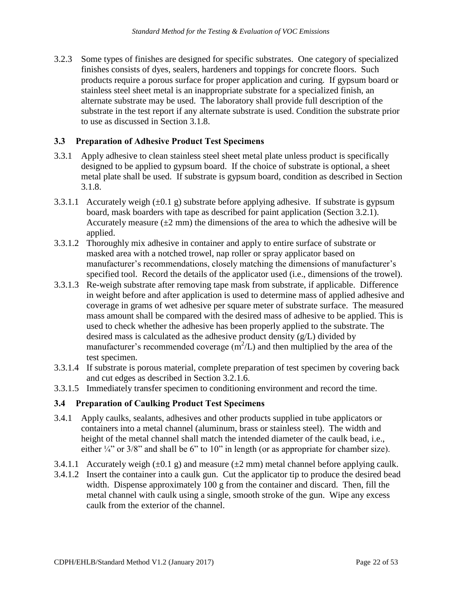stainless steel sheet metal is an inappropriate substrate for a specialized finish, an 3.2.3 Some types of finishes are designed for specific substrates. One category of specialized finishes consists of dyes, sealers, hardeners and toppings for concrete floors. Such products require a porous surface for proper application and curing. If gypsum board or alternate substrate may be used. The laboratory shall provide full description of the substrate in the test report if any alternate substrate is used. Condition the substrate prior to use as discussed in Section 3.1.8.

#### <span id="page-21-0"></span>**3.3 Preparation of Adhesive Product Test Specimens**

- metal plate shall be used. If substrate is gypsum board, condition as described in Section 3.3.1 Apply adhesive to clean stainless steel sheet metal plate unless product is specifically designed to be applied to gypsum board. If the choice of substrate is optional, a sheet 3.1.8.
- 3.3.1.1 Accurately weigh  $(\pm 0.1 \text{ g})$  substrate before applying adhesive. If substrate is gypsum board, mask boarders with tape as described for paint application (Section 3.2.1). Accurately measure  $(\pm 2 \text{ mm})$  the dimensions of the area to which the adhesive will be applied.
- 3.3.1.2 Thoroughly mix adhesive in container and apply to entire surface of substrate or masked area with a notched trowel, nap roller or spray applicator based on manufacturer's recommendations, closely matching the dimensions of manufacturer's specified tool. Record the details of the applicator used (i.e., dimensions of the trowel).
- in weight before and after application is used to determine mass of applied adhesive and 3.3.1.3 Re-weigh substrate after removing tape mask from substrate, if applicable. Difference coverage in grams of wet adhesive per square meter of substrate surface. The measured mass amount shall be compared with the desired mass of adhesive to be applied. This is used to check whether the adhesive has been properly applied to the substrate. The desired mass is calculated as the adhesive product density (g/L) divided by manufacturer's recommended coverage  $(m^2/L)$  and then multiplied by the area of the test specimen.
- 3.3.1.4 If substrate is porous material, complete preparation of test specimen by covering back and cut edges as described in Section 3.2.1.6.
- 3.3.1.5 Immediately transfer specimen to conditioning environment and record the time.

#### <span id="page-21-1"></span>**3.4 Preparation of Caulking Product Test Specimens**

- 3.4.1 Apply caulks, sealants, adhesives and other products supplied in tube applicators or containers into a metal channel (aluminum, brass or stainless steel). The width and height of the metal channel shall match the intended diameter of the caulk bead, i.e., either  $\frac{1}{4}$ " or 3/8" and shall be 6" to 10" in length (or as appropriate for chamber size).
- 3.4.1.1 Accurately weigh  $(\pm 0.1 \text{ g})$  and measure  $(\pm 2 \text{ mm})$  metal channel before applying caulk.
- 3.4.1.2 Insert the container into a caulk gun. Cut the applicator tip to produce the desired bead width. Dispense approximately 100 g from the container and discard. Then, fill the metal channel with caulk using a single, smooth stroke of the gun. Wipe any excess caulk from the exterior of the channel.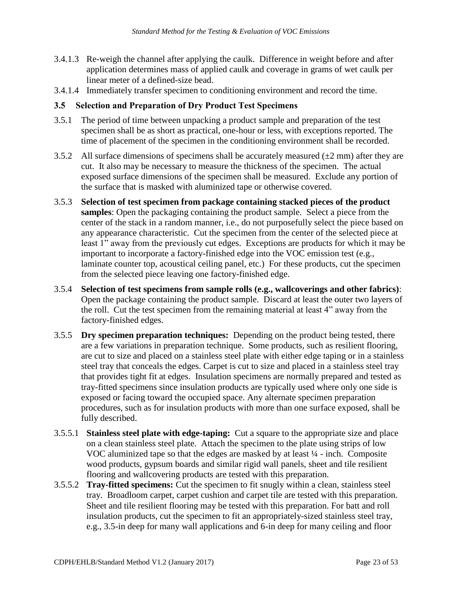- 3.4.1.3 Re-weigh the channel after applying the caulk. Difference in weight before and after application determines mass of applied caulk and coverage in grams of wet caulk per linear meter of a defined-size bead.
- 3.4.1.4 Immediately transfer specimen to conditioning environment and record the time.

#### <span id="page-22-0"></span>**3.5 Selection and Preparation of Dry Product Test Specimens**

- 3.5.1 The period of time between unpacking a product sample and preparation of the test specimen shall be as short as practical, one-hour or less, with exceptions reported. The time of placement of the specimen in the conditioning environment shall be recorded.
- 3.5.2 All surface dimensions of specimens shall be accurately measured  $(\pm 2 \text{ mm})$  after they are cut. It also may be necessary to measure the thickness of the specimen. The actual exposed surface dimensions of the specimen shall be measured. Exclude any portion of the surface that is masked with aluminized tape or otherwise covered.
- *Standard Method for the Testing & Evaluation of VOC Emissions*<br>
e channel after applying the caulk. Difference in weight before<br>
electremines mass of applied caulk and coverage in grams of well<br>
of a defined-size bead.<br>
t 3.5.3 **Selection of test specimen from package containing stacked pieces of the product samples**: Open the packaging containing the product sample. Select a piece from the center of the stack in a random manner, i.e., do not purposefully select the piece based on any appearance characteristic. Cut the specimen from the center of the selected piece at least 1" away from the previously cut edges. Exceptions are products for which it may be important to incorporate a factory-finished edge into the VOC emission test (e.g., laminate counter top, acoustical ceiling panel, etc.) For these products, cut the specimen from the selected piece leaving one factory-finished edge.
- the roll. Cut the test specimen from the remaining material at least 4" away from the 3.5.4 **Selection of test specimens from sample rolls (e.g., wallcoverings and other fabrics)**: Open the package containing the product sample. Discard at least the outer two layers of factory-finished edges.
- 3.5.5 **Dry specimen preparation techniques:** Depending on the product being tested, there are a few variations in preparation technique. Some products, such as resilient flooring, are cut to size and placed on a stainless steel plate with either edge taping or in a stainless steel tray that conceals the edges. Carpet is cut to size and placed in a stainless steel tray that provides tight fit at edges. Insulation specimens are normally prepared and tested as tray-fitted specimens since insulation products are typically used where only one side is exposed or facing toward the occupied space. Any alternate specimen preparation procedures, such as for insulation products with more than one surface exposed, shall be fully described.
- 3.5.5.1 **Stainless steel plate with edge-taping:** Cut a square to the appropriate size and place on a clean stainless steel plate. Attach the specimen to the plate using strips of low VOC aluminized tape so that the edges are masked by at least ¼ - inch. Composite wood products, gypsum boards and similar rigid wall panels, sheet and tile resilient flooring and wallcovering products are tested with this preparation.
- 3.5.5.2 **Tray-fitted specimens:** Cut the specimen to fit snugly within a clean, stainless steel tray. Broadloom carpet, carpet cushion and carpet tile are tested with this preparation. Sheet and tile resilient flooring may be tested with this preparation. For batt and roll insulation products, cut the specimen to fit an appropriately-sized stainless steel tray, e.g., 3.5-in deep for many wall applications and 6-in deep for many ceiling and floor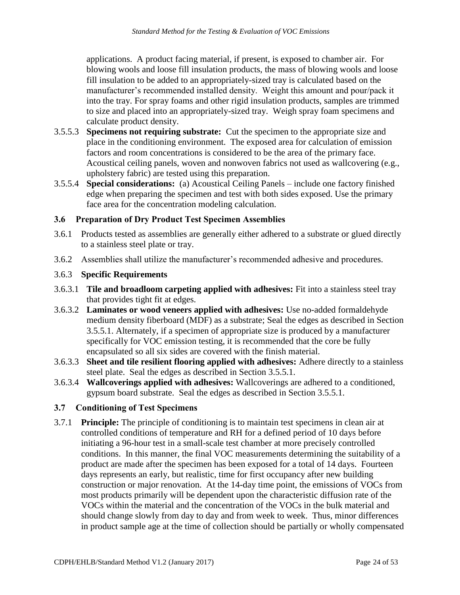calculate product density. applications. A product facing material, if present, is exposed to chamber air. For blowing wools and loose fill insulation products, the mass of blowing wools and loose fill insulation to be added to an appropriately-sized tray is calculated based on the manufacturer's recommended installed density. Weight this amount and pour/pack it into the tray. For spray foams and other rigid insulation products, samples are trimmed to size and placed into an appropriately-sized tray. Weigh spray foam specimens and

- calculate product density. 3.5.5.3 **Specimens not requiring substrate:** Cut the specimen to the appropriate size and place in the conditioning environment. The exposed area for calculation of emission factors and room concentrations is considered to be the area of the primary face. Acoustical ceiling panels, woven and nonwoven fabrics not used as wallcovering (e.g., upholstery fabric) are tested using this preparation.
- 3.5.5.4 **Special considerations:** (a) Acoustical Ceiling Panels include one factory finished edge when preparing the specimen and test with both sides exposed. Use the primary face area for the concentration modeling calculation.

#### <span id="page-23-0"></span>**3.6 Preparation of Dry Product Test Specimen Assemblies**

- 3.6.1 Products tested as assemblies are generally either adhered to a substrate or glued directly to a stainless steel plate or tray.
- 3.6.2 Assemblies shall utilize the manufacturer's recommended adhesive and procedures.

#### 3.6.3 **Specific Requirements**

- 3.6.3.1 **Tile and broadloom carpeting applied with adhesives:** Fit into a stainless steel tray that provides tight fit at edges.
- specifically for VOC emission testing, it is recommended that the core be fully encapsulated so all six sides are covered with the finish material. 3.6.3.2 **Laminates or wood veneers applied with adhesives:** Use no-added formaldehyde medium density fiberboard (MDF) as a substrate; Seal the edges as described in Section 3.5.5.1. Alternately, if a specimen of appropriate size is produced by a manufacturer
- 3.6.3.3 **Sheet and tile resilient flooring applied with adhesives:** Adhere directly to a stainless steel plate. Seal the edges as described in Section 3.5.5.1.
- 3.6.3.4 **Wallcoverings applied with adhesives:** Wallcoverings are adhered to a conditioned, gypsum board substrate. Seal the edges as described in Section 3.5.5.1.

#### <span id="page-23-1"></span>**3.7 Conditioning of Test Specimens**

3.7.1 **Principle:** The principle of conditioning is to maintain test specimens in clean air at controlled conditions of temperature and RH for a defined period of 10 days before initiating a 96-hour test in a small-scale test chamber at more precisely controlled conditions. In this manner, the final VOC measurements determining the suitability of a product are made after the specimen has been exposed for a total of 14 days. Fourteen days represents an early, but realistic, time for first occupancy after new building construction or major renovation. At the 14-day time point, the emissions of VOCs from most products primarily will be dependent upon the characteristic diffusion rate of the VOCs within the material and the concentration of the VOCs in the bulk material and should change slowly from day to day and from week to week. Thus, minor differences in product sample age at the time of collection should be partially or wholly compensated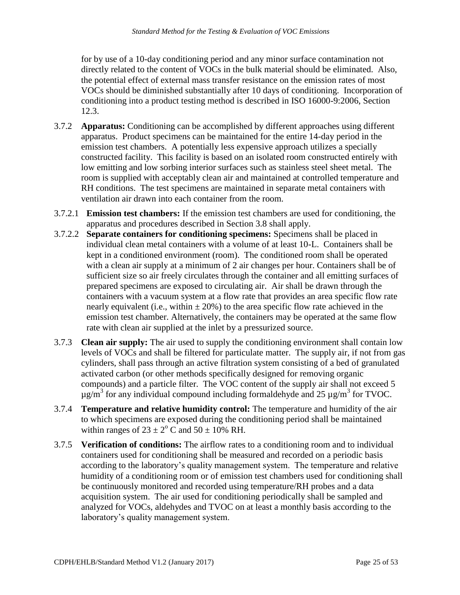for by use of a 10-day conditioning period and any minor surface contamination not directly related to the content of VOCs in the bulk material should be eliminated. Also, the potential effect of external mass transfer resistance on the emission rates of most VOCs should be diminished substantially after 10 days of conditioning. Incorporation of conditioning into a product testing method is described in ISO 16000-9:2006, Section 12.3.

- ventilation air drawn into each container from the room. 3.7.2 **Apparatus:** Conditioning can be accomplished by different approaches using different apparatus. Product specimens can be maintained for the entire 14-day period in the emission test chambers. A potentially less expensive approach utilizes a specially constructed facility. This facility is based on an isolated room constructed entirely with low emitting and low sorbing interior surfaces such as stainless steel sheet metal. The room is supplied with acceptably clean air and maintained at controlled temperature and RH conditions. The test specimens are maintained in separate metal containers with
- 3.7.2.1 **Emission test chambers:** If the emission test chambers are used for conditioning, the apparatus and procedures described in Section 3.8 shall apply.
- 3.7.2.2 **Separate containers for conditioning specimens:** Specimens shall be placed in individual clean metal containers with a volume of at least 10-L. Containers shall be kept in a conditioned environment (room). The conditioned room shall be operated with a clean air supply at a minimum of 2 air changes per hour. Containers shall be of sufficient size so air freely circulates through the container and all emitting surfaces of prepared specimens are exposed to circulating air. Air shall be drawn through the containers with a vacuum system at a flow rate that provides an area specific flow rate nearly equivalent (i.e., within  $\pm 20\%$ ) to the area specific flow rate achieved in the emission test chamber. Alternatively, the containers may be operated at the same flow rate with clean air supplied at the inlet by a pressurized source.
- $\mu$ g/m<sup>3</sup> for any individual compound including formaldehyde and 25  $\mu$ g/m<sup>3</sup> for TVOC. 3.7.3 **Clean air supply:** The air used to supply the conditioning environment shall contain low levels of VOCs and shall be filtered for particulate matter. The supply air, if not from gas cylinders, shall pass through an active filtration system consisting of a bed of granulated activated carbon (or other methods specifically designed for removing organic compounds) and a particle filter. The VOC content of the supply air shall not exceed 5
- 3.7.4 **Temperature and relative humidity control:** The temperature and humidity of the air to which specimens are exposed during the conditioning period shall be maintained within ranges of  $23 \pm 2^{\circ}$  C and  $50 \pm 10\%$  RH.
- acquisition system. The air used for conditioning periodically shall be sampled and 3.7.5 **Verification of conditions:** The airflow rates to a conditioning room and to individual containers used for conditioning shall be measured and recorded on a periodic basis according to the laboratory's quality management system. The temperature and relative humidity of a conditioning room or of emission test chambers used for conditioning shall be continuously monitored and recorded using temperature/RH probes and a data analyzed for VOCs, aldehydes and TVOC on at least a monthly basis according to the laboratory's quality management system.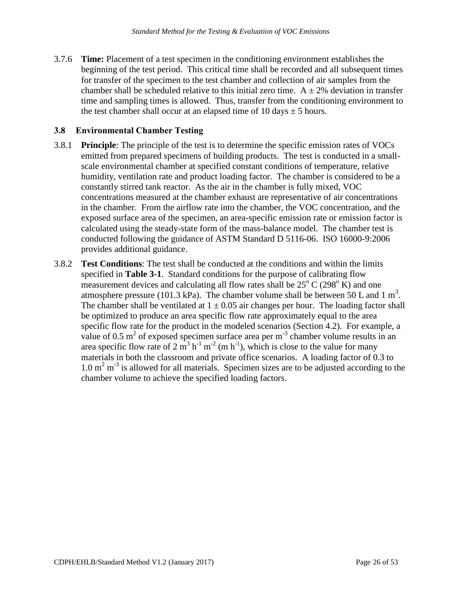3.7.6 **Time:** Placement of a test specimen in the conditioning environment establishes the beginning of the test period. This critical time shall be recorded and all subsequent times for transfer of the specimen to the test chamber and collection of air samples from the chamber shall be scheduled relative to this initial zero time.  $A \pm 2\%$  deviation in transfer time and sampling times is allowed. Thus, transfer from the conditioning environment to the test chamber shall occur at an elapsed time of 10 days  $\pm$  5 hours.

#### <span id="page-25-0"></span>**3.8 Environmental Chamber Testing**

- 3.8.1 **Principle**: The principle of the test is to determine the specific emission rates of VOCs emitted from prepared specimens of building products. The test is conducted in a smallscale environmental chamber at specified constant conditions of temperature, relative humidity, ventilation rate and product loading factor. The chamber is considered to be a constantly stirred tank reactor. As the air in the chamber is fully mixed, VOC concentrations measured at the chamber exhaust are representative of air concentrations in the chamber. From the airflow rate into the chamber, the VOC concentration, and the exposed surface area of the specimen, an area-specific emission rate or emission factor is calculated using the steady-state form of the mass-balance model. The chamber test is conducted following the guidance of ASTM Standard D 5116-06. ISO 16000-9:2006 provides additional guidance.
- measurement devices and calculating all flow rates shall be  $25^{\circ}$  C (298 $^{\circ}$  K) and one specific flow rate for the product in the modeled scenarios (Section 4.2). For example, a specific flow rate for the product in the modeled scenarios (Section 4.2). For example, a value of 0.5 m<sup>2</sup> of exposed specimen surface area per m<sup>-3</sup> chamber volume results in an area specific flow rate of 2  $\text{m}^3$  h<sup>-1</sup> m<sup>-2</sup> (m h<sup>-1</sup>), which is close to the value for many  $1.0 \text{ m}^2 \text{ m}^3$  is allowed for all materials. Specimen sizes are to be adjusted according to the 3.8.2 **Test Conditions**: The test shall be conducted at the conditions and within the limits specified in **Table 3-1**. Standard conditions for the purpose of calibrating flow atmosphere pressure (101.3 kPa). The chamber volume shall be between 50 L and 1 m<sup>3</sup>. The chamber shall be ventilated at  $1 \pm 0.05$  air changes per hour. The loading factor shall be optimized to produce an area specific flow rate approximately equal to the area materials in both the classroom and private office scenarios. A loading factor of 0.3 to chamber volume to achieve the specified loading factors.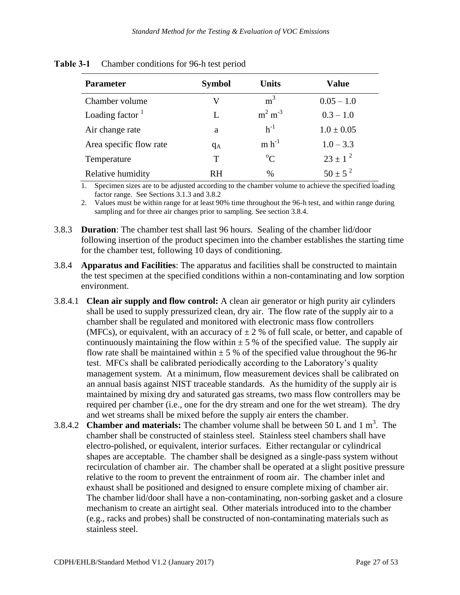| <b>Parameter</b>        | <b>Symbol</b> | <b>Units</b>   | Value          |
|-------------------------|---------------|----------------|----------------|
| Chamber volume          | V             | m <sup>3</sup> | $0.05 - 1.0$   |
| Loading factor $1$      | L             | $m2 m-3$       | $0.3 - 1.0$    |
| Air change rate         | a             | $h^{-1}$       | $1.0 \pm 0.05$ |
| Area specific flow rate | $q_A$         | $m h^{-1}$     | $1.0 - 3.3$    |
| Temperature             | T             | $^{\circ}C$    | $23 \pm 1^2$   |
| Relative humidity       | <b>RH</b>     | $\%$           | $50 \pm 5^{2}$ |

#### <span id="page-26-0"></span>**Table 3-1** Chamber conditions for 96-h test period

 1. Specimen sizes are to be adjusted according to the chamber volume to achieve the specified loading factor range. See Sections 3.1.3 and 3.8.2

 2. Values must be within range for at least 90% time throughout the 96-h test, and within range during sampling and for three air changes prior to sampling. See section 3.8.4.

- 3.8.3 **Duration**: The chamber test shall last 96 hours. Sealing of the chamber lid/door following insertion of the product specimen into the chamber establishes the starting time for the chamber test, following 10 days of conditioning.
- 3.8.4 **Apparatus and Facilities**: The apparatus and facilities shall be constructed to maintain the test specimen at the specified conditions within a non-contaminating and low sorption environment.
- 3.8.4.1 **Clean air supply and flow control:** A clean air generator or high purity air cylinders shall be used to supply pressurized clean, dry air. The flow rate of the supply air to a chamber shall be regulated and monitored with electronic mass flow controllers (MFCs), or equivalent, with an accuracy of  $\pm 2$  % of full scale, or better, and capable of continuously maintaining the flow within  $\pm$  5 % of the specified value. The supply air flow rate shall be maintained within  $\pm$  5 % of the specified value throughout the 96-hr test. MFCs shall be calibrated periodically according to the Laboratory's quality management system. At a minimum, flow measurement devices shall be calibrated on an annual basis against NIST traceable standards. As the humidity of the supply air is maintained by mixing dry and saturated gas streams, two mass flow controllers may be required per chamber (i.e., one for the dry stream and one for the wet stream). The dry and wet streams shall be mixed before the supply air enters the chamber.
- <sup>3</sup> 3.8.4.2 **Chamber and materials:** The chamber volume shall be between 50 L and 1 m . The chamber shall be constructed of stainless steel. Stainless steel chambers shall have electro-polished, or equivalent, interior surfaces. Either rectangular or cylindrical shapes are acceptable. The chamber shall be designed as a single-pass system without recirculation of chamber air. The chamber shall be operated at a slight positive pressure relative to the room to prevent the entrainment of room air. The chamber inlet and exhaust shall be positioned and designed to ensure complete mixing of chamber air. The chamber lid/door shall have a non-contaminating, non-sorbing gasket and a closure mechanism to create an airtight seal. Other materials introduced into to the chamber (e.g., racks and probes) shall be constructed of non-contaminating materials such as stainless steel.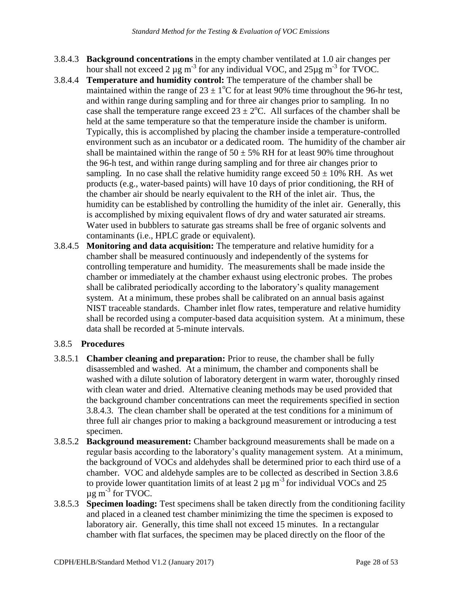- 3.8.4.3 **Background concentrations** in the empty chamber ventilated at 1.0 air changes per hour shall not exceed 2  $\mu$ g m<sup>-3</sup> for any individual VOC, and 25 $\mu$ g m<sup>-3</sup> for TVOC.
- humidity can be established by controlling the humidity of the inlet air. Generally, this 3.8.4.4 **Temperature and humidity control:** The temperature of the chamber shall be maintained within the range of  $23 \pm 1$ °C for at least 90% time throughout the 96-hr test, and within range during sampling and for three air changes prior to sampling. In no case shall the temperature range exceed  $23 \pm 2$ °C. All surfaces of the chamber shall be held at the same temperature so that the temperature inside the chamber is uniform. Typically, this is accomplished by placing the chamber inside a temperature-controlled environment such as an incubator or a dedicated room. The humidity of the chamber air shall be maintained within the range of  $50 \pm 5\%$  RH for at least 90% time throughout the 96-h test, and within range during sampling and for three air changes prior to sampling. In no case shall the relative humidity range exceed  $50 \pm 10\%$  RH. As wet products (e.g., water-based paints) will have 10 days of prior conditioning, the RH of the chamber air should be nearly equivalent to the RH of the inlet air. Thus, the is accomplished by mixing equivalent flows of dry and water saturated air streams. Water used in bubblers to saturate gas streams shall be free of organic solvents and contaminants (i.e., HPLC grade or equivalent).
- 3.8.4.5 **Monitoring and data acquisition:** The temperature and relative humidity for a chamber shall be measured continuously and independently of the systems for controlling temperature and humidity. The measurements shall be made inside the chamber or immediately at the chamber exhaust using electronic probes. The probes shall be calibrated periodically according to the laboratory's quality management system. At a minimum, these probes shall be calibrated on an annual basis against NIST traceable standards. Chamber inlet flow rates, temperature and relative humidity shall be recorded using a computer-based data acquisition system. At a minimum, these data shall be recorded at 5-minute intervals.

#### 3.8.5 **Procedures**

- 3.8.5.1 **Chamber cleaning and preparation:** Prior to reuse, the chamber shall be fully disassembled and washed. At a minimum, the chamber and components shall be washed with a dilute solution of laboratory detergent in warm water, thoroughly rinsed with clean water and dried. Alternative cleaning methods may be used provided that the background chamber concentrations can meet the requirements specified in section 3.8.4.3. The clean chamber shall be operated at the test conditions for a minimum of three full air changes prior to making a background measurement or introducing a test specimen.
- $\mu$ g m<sup>-3</sup> for TVOC. 3.8.5.2 **Background measurement:** Chamber background measurements shall be made on a regular basis according to the laboratory's quality management system. At a minimum, the background of VOCs and aldehydes shall be determined prior to each third use of a chamber. VOC and aldehyde samples are to be collected as described in Section 3.8.6 to provide lower quantitation limits of at least 2  $\mu$ g m<sup>-3</sup> for individual VOCs and 25
- laboratory air. Generally, this time shall not exceed 15 minutes. In a rectangular 3.8.5.3 **Specimen loading:** Test specimens shall be taken directly from the conditioning facility and placed in a cleaned test chamber minimizing the time the specimen is exposed to chamber with flat surfaces, the specimen may be placed directly on the floor of the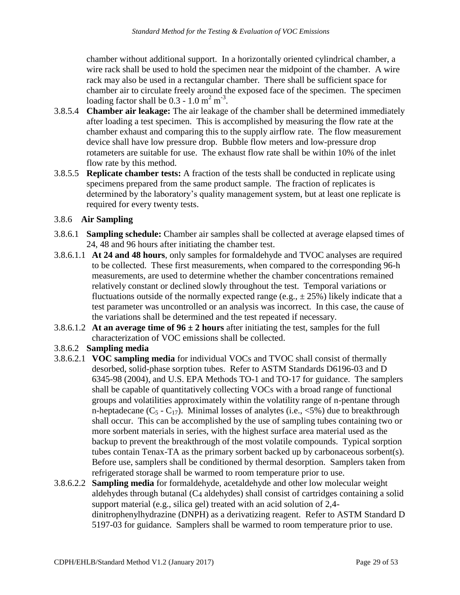chamber without additional support. In a horizontally oriented cylindrical chamber, a loading factor shall be  $0.3 - 1.0$  m<sup>2</sup> m<sup>-3</sup>. wire rack shall be used to hold the specimen near the midpoint of the chamber. A wire rack may also be used in a rectangular chamber. There shall be sufficient space for chamber air to circulate freely around the exposed face of the specimen. The specimen

- flow rate by this method. 3.8.5.4 **Chamber air leakage:** The air leakage of the chamber shall be determined immediately after loading a test specimen. This is accomplished by measuring the flow rate at the chamber exhaust and comparing this to the supply airflow rate. The flow measurement device shall have low pressure drop. Bubble flow meters and low-pressure drop rotameters are suitable for use. The exhaust flow rate shall be within 10% of the inlet
- **flow Replicate chamber tests:** A fraction of the tests shall be conducted in replicate using specimens prepared from the same product sample. The fraction of replicates is determined by the laboratory's quality management system, but at least one replicate is required for every twenty tests.

#### 3.8.6 **Air Sampling**

- 3.8.6.1 **Sampling schedule:** Chamber air samples shall be collected at average elapsed times of 24, 48 and 96 hours after initiating the chamber test.
- measurements, are used to determine whether the chamber concentrations remained 3.8.6.1.1 **At 24 and 48 hours**, only samples for formaldehyde and TVOC analyses are required to be collected. These first measurements, when compared to the corresponding 96-h relatively constant or declined slowly throughout the test. Temporal variations or fluctuations outside of the normally expected range (e.g.,  $\pm$  25%) likely indicate that a test parameter was uncontrolled or an analysis was incorrect. In this case, the cause of the variations shall be determined and the test repeated if necessary.
- 3.8.6.1.2 **At an average time of 96 ± 2 hours** after initiating the test, samples for the full characterization of VOC emissions shall be collected.

#### 3.8.6.2 **Sampling media**

- 3.8.6.2.1 **VOC sampling media** for individual VOCs and TVOC shall consist of thermally n-heptadecane  $(C_5 - C_{17})$ . Minimal losses of analytes (i.e., <5%) due to breakthrough tubes contain Tenax-TA as the primary sorbent backed up by carbonaceous sorbent(s). desorbed, solid-phase sorption tubes. Refer to ASTM Standards D6196-03 and D 6345-98 (2004), and U.S. EPA Methods TO-1 and TO-17 for guidance. The samplers shall be capable of quantitatively collecting VOCs with a broad range of functional groups and volatilities approximately within the volatility range of n-pentane through shall occur. This can be accomplished by the use of sampling tubes containing two or more sorbent materials in series, with the highest surface area material used as the backup to prevent the breakthrough of the most volatile compounds. Typical sorption Before use, samplers shall be conditioned by thermal desorption. Samplers taken from refrigerated storage shall be warmed to room temperature prior to use.
- 3.8.6.2.2 **Sampling media** for formaldehyde, acetaldehyde and other low molecular weight aldehydes through butanal (C4 aldehydes) shall consist of cartridges containing a solid support material (e.g., silica gel) treated with an acid solution of 2,4 dinitrophenylhydrazine (DNPH) as a derivatizing reagent. Refer to ASTM Standard D 5197-03 for guidance. Samplers shall be warmed to room temperature prior to use.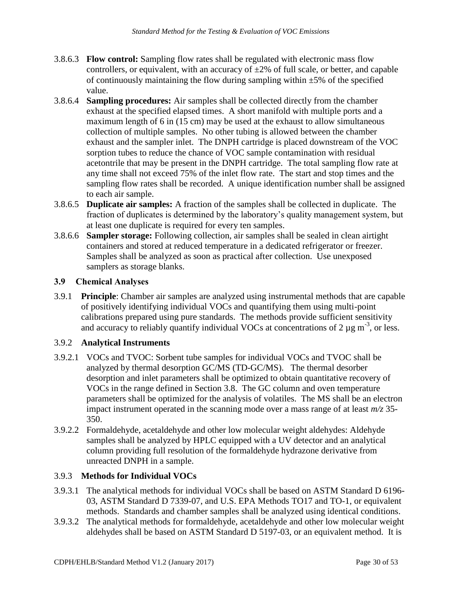- 3.8.6.3 **Flow control:** Sampling flow rates shall be regulated with electronic mass flow controllers, or equivalent, with an accuracy of  $\pm 2\%$  of full scale, or better, and capable of continuously maintaining the flow during sampling within  $\pm 5\%$  of the specified value.
- 3.8.6.4 **Sampling procedures:** Air samples shall be collected directly from the chamber exhaust at the specified elapsed times. A short manifold with multiple ports and a maximum length of 6 in (15 cm) may be used at the exhaust to allow simultaneous collection of multiple samples. No other tubing is allowed between the chamber exhaust and the sampler inlet. The DNPH cartridge is placed downstream of the VOC sorption tubes to reduce the chance of VOC sample contamination with residual acetontrile that may be present in the DNPH cartridge. The total sampling flow rate at any time shall not exceed 75% of the inlet flow rate. The start and stop times and the sampling flow rates shall be recorded. A unique identification number shall be assigned to each air sample.
- 3.8.6.5 **Duplicate air samples:** A fraction of the samples shall be collected in duplicate. The fraction of duplicates is determined by the laboratory's quality management system, but at least one duplicate is required for every ten samples.
- 3.8.6.6 **Sampler storage:** Following collection, air samples shall be sealed in clean airtight containers and stored at reduced temperature in a dedicated refrigerator or freezer. Samples shall be analyzed as soon as practical after collection. Use unexposed samplers as storage blanks.

#### <span id="page-29-0"></span>**3.9 Chemical Analyses**

 3.9.1 **Principle**: Chamber air samples are analyzed using instrumental methods that are capable of positively identifying individual VOCs and quantifying them using multi-point calibrations prepared using pure standards. The methods provide sufficient sensitivity and accuracy to reliably quantify individual VOCs at concentrations of 2  $\mu$ g m<sup>-3</sup>, or less.

#### 3.9.2 **Analytical Instruments**

- analyzed by thermal desorption GC/MS (TD-GC/MS). The thermal desorber 3.9.2.1 VOCs and TVOC: Sorbent tube samples for individual VOCs and TVOC shall be desorption and inlet parameters shall be optimized to obtain quantitative recovery of VOCs in the range defined in Section 3.8. The GC column and oven temperature parameters shall be optimized for the analysis of volatiles. The MS shall be an electron impact instrument operated in the scanning mode over a mass range of at least *m/z* 35- 350.
- 3.9.2.2 Formaldehyde, acetaldehyde and other low molecular weight aldehydes: Aldehyde samples shall be analyzed by HPLC equipped with a UV detector and an analytical column providing full resolution of the formaldehyde hydrazone derivative from unreacted DNPH in a sample.

#### 3.9.3 **Methods for Individual VOCs**

- 3.9.3.1 The analytical methods for individual VOCs shall be based on ASTM Standard D 6196- 03, ASTM Standard D 7339-07, and U.S. EPA Methods TO17 and TO-1, or equivalent methods. Standards and chamber samples shall be analyzed using identical conditions.
- 3.9.3.2 The analytical methods for formaldehyde, acetaldehyde and other low molecular weight aldehydes shall be based on ASTM Standard D 5197-03, or an equivalent method. It is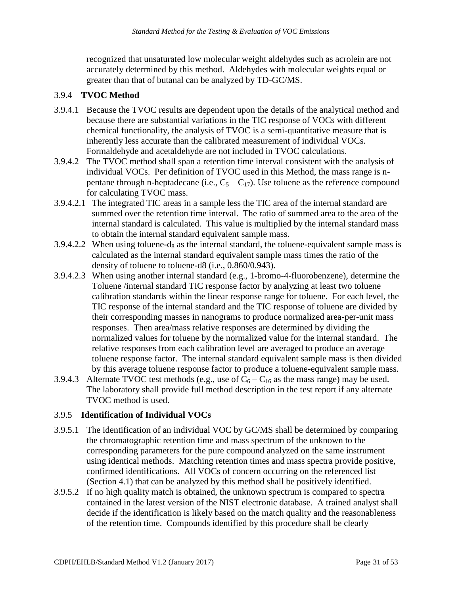recognized that unsaturated low molecular weight aldehydes such as acrolein are not accurately determined by this method. Aldehydes with molecular weights equal or greater than that of butanal can be analyzed by TD-GC/MS.

#### 3.9.4 **TVOC Method**

- 3.9.4.1 Because the TVOC results are dependent upon the details of the analytical method and because there are substantial variations in the TIC response of VOCs with different chemical functionality, the analysis of TVOC is a semi-quantitative measure that is inherently less accurate than the calibrated measurement of individual VOCs. Formaldehyde and acetaldehyde are not included in TVOC calculations.
- pentane through n-heptadecane (i.e.,  $C_5 C_{17}$ ). Use toluene as the reference compound 3.9.4.2 The TVOC method shall span a retention time interval consistent with the analysis of individual VOCs. Per definition of TVOC used in this Method, the mass range is nfor calculating TVOC mass.
- to obtain the internal standard equivalent sample mass. 3.9.4.2.1 The integrated TIC areas in a sample less the TIC area of the internal standard are summed over the retention time interval. The ratio of summed area to the area of the internal standard is calculated. This value is multiplied by the internal standard mass
- 3.9.4.2.2 When using toluene-d<sub>8</sub> as the internal standard, the toluene-equivalent sample mass is calculated as the internal standard equivalent sample mass times the ratio of the density of toluene to toluene-d8 (i.e., 0.860/0.943).
- 3.9.4.2.3 When using another internal standard (e.g., 1-bromo-4-fluorobenzene), determine the Toluene /internal standard TIC response factor by analyzing at least two toluene calibration standards within the linear response range for toluene. For each level, the TIC response of the internal standard and the TIC response of toluene are divided by their corresponding masses in nanograms to produce normalized area-per-unit mass responses. Then area/mass relative responses are determined by dividing the normalized values for toluene by the normalized value for the internal standard. The relative responses from each calibration level are averaged to produce an average toluene response factor. The internal standard equivalent sample mass is then divided by this average toluene response factor to produce a toluene-equivalent sample mass.
- 3.9.4.3 Alternate TVOC test methods (e.g., use of  $C_6 C_{16}$  as the mass range) may be used. The laboratory shall provide full method description in the test report if any alternate TVOC method is used.

#### 3.9.5 **Identification of Individual VOCs**

- 3.9.5.1 The identification of an individual VOC by GC/MS shall be determined by comparing the chromatographic retention time and mass spectrum of the unknown to the corresponding parameters for the pure compound analyzed on the same instrument using identical methods. Matching retention times and mass spectra provide positive, confirmed identifications. All VOCs of concern occurring on the referenced list (Section 4.1) that can be analyzed by this method shall be positively identified.
- 3.9.5.2 If no high quality match is obtained, the unknown spectrum is compared to spectra contained in the latest version of the NIST electronic database. A trained analyst shall decide if the identification is likely based on the match quality and the reasonableness of the retention time. Compounds identified by this procedure shall be clearly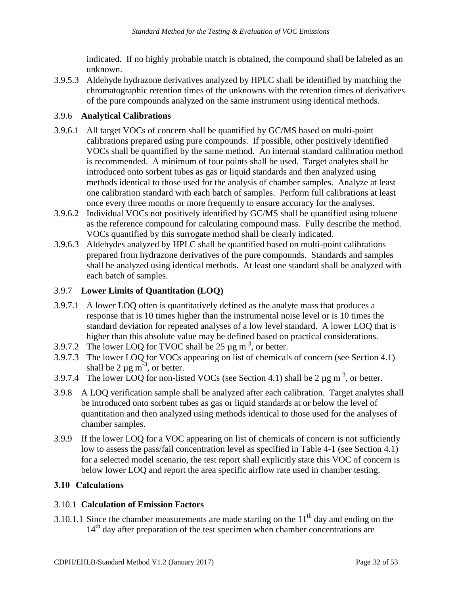indicated. If no highly probable match is obtained, the compound shall be labeled as an unknown.

3.9.5.3 Aldehyde hydrazone derivatives analyzed by HPLC shall be identified by matching the chromatographic retention times of the unknowns with the retention times of derivatives of the pure compounds analyzed on the same instrument using identical methods.

#### 3.9.6 **Analytical Calibrations**

- 3.9.6.1 All target VOCs of concern shall be quantified by GC/MS based on multi-point calibrations prepared using pure compounds. If possible, other positively identified VOCs shall be quantified by the same method. An internal standard calibration method is recommended. A minimum of four points shall be used. Target analytes shall be introduced onto sorbent tubes as gas or liquid standards and then analyzed using methods identical to those used for the analysis of chamber samples. Analyze at least one calibration standard with each batch of samples. Perform full calibrations at least once every three months or more frequently to ensure accuracy for the analyses.
- 3.9.6.2 Individual VOCs not positively identified by GC/MS shall be quantified using toluene as the reference compound for calculating compound mass. Fully describe the method. VOCs quantified by this surrogate method shall be clearly indicated.
- 3.9.6.3 Aldehydes analyzed by HPLC shall be quantified based on multi-point calibrations prepared from hydrazone derivatives of the pure compounds. Standards and samples shall be analyzed using identical methods. At least one standard shall be analyzed with each batch of samples.

#### 3.9.7 **Lower Limits of Quantitation (LOQ)**

- 3.9.7.1 A lower LOQ often is quantitatively defined as the analyte mass that produces a response that is 10 times higher than the instrumental noise level or is 10 times the standard deviation for repeated analyses of a low level standard. A lower LOQ that is higher than this absolute value may be defined based on practical considerations.
- 3.9.7.2 The lower LOQ for TVOC shall be 25  $\mu$ g m<sup>-3</sup>, or better.
- 3.9.7.3 The lower LOQ for VOCs appearing on list of chemicals of concern (see Section 4.1) shall be 2  $\mu$ g m<sup>-3</sup>, or better.
- 3.9.7.4 The lower LOQ for non-listed VOCs (see Section 4.1) shall be 2  $\mu$ g m<sup>-3</sup>, or better.
- 3.9.8 A LOQ verification sample shall be analyzed after each calibration. Target analytes shall be introduced onto sorbent tubes as gas or liquid standards at or below the level of quantitation and then analyzed using methods identical to those used for the analyses of chamber samples.
- 3.9.9 If the lower LOQ for a VOC appearing on list of chemicals of concern is not sufficiently low to assess the pass/fail concentration level as specified in Table 4-1 (see Section 4.1) for a selected model scenario, the test report shall explicitly state this VOC of concern is below lower LOQ and report the area specific airflow rate used in chamber testing.

#### <span id="page-31-0"></span>**3.10 Calculations**

#### 3.10.1 **Calculation of Emission Factors**

3.10.1.1 Since the chamber measurements are made starting on the  $11<sup>th</sup>$  day and ending on the 14<sup>th</sup> day after preparation of the test specimen when chamber concentrations are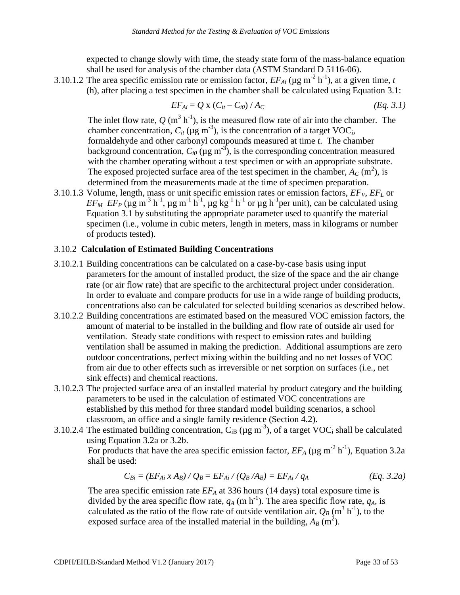shall be used for analysis of the chamber data (ASTM Standard D 5116-06). expected to change slowly with time, the steady state form of the mass-balance equation

3.10.1.2 The area specific emission rate or emission factor,  $EF_{Ai}$  ( $\mu$ g m<sup>-2</sup> h<sup>-1</sup>), at a given time, *t* (h), after placing a test specimen in the chamber shall be calculated using Equation 3.1:

$$
EF_{Ai} = Q \times (C_{it} - C_{i0}) / A_C
$$
 (Eq. 3.1)

The inlet flow rate,  $Q(m^3 h^{-1})$ , is the measured flow rate of air into the chamber. The formaldehyde and other carbonyl compounds measured at time *t*. The chamber chamber concentration,  $C_{it}$  ( $\mu$ g m<sup>-3</sup>), is the concentration of a target VOC<sub>i</sub>, background concentration,  $C_{i0}$  ( $\mu$ g m<sup>-3</sup>), is the corresponding concentration measured with the chamber operating without a test specimen or with an appropriate substrate. The exposed projected surface area of the test specimen in the chamber,  $A_C$  (m<sup>2</sup>), is determined from the measurements made at the time of specimen preparation.

 $EF_M EF_P$  ( $\mu$ g m<sup>-3</sup> h<sup>-1</sup>,  $\mu$ g m<sup>-1</sup> h<sup>-1</sup>,  $\mu$ g kg<sup>-1</sup> h<sup>-1</sup> or  $\mu$ g h<sup>-1</sup>per unit), can be calculated using 3.10.1.3 Volume, length, mass or unit specific emission rates or emission factors, *EFV*, *EFL* or Equation 3.1 by substituting the appropriate parameter used to quantify the material specimen (i.e., volume in cubic meters, length in meters, mass in kilograms or number of products tested).

#### 3.10.2 **Calculation of Estimated Building Concentrations**

- 3.10.2.1 Building concentrations can be calculated on a case-by-case basis using input parameters for the amount of installed product, the size of the space and the air change rate (or air flow rate) that are specific to the architectural project under consideration. In order to evaluate and compare products for use in a wide range of building products, concentrations also can be calculated for selected building scenarios as described below.
- 3.10.2.2 Building concentrations are estimated based on the measured VOC emission factors, the amount of material to be installed in the building and flow rate of outside air used for ventilation. Steady state conditions with respect to emission rates and building ventilation shall be assumed in making the prediction. Additional assumptions are zero outdoor concentrations, perfect mixing within the building and no net losses of VOC from air due to other effects such as irreversible or net sorption on surfaces (i.e., net sink effects) and chemical reactions.
- classroom, an office and a single family residence (Section 4.2). 3.10.2.3 The projected surface area of an installed material by product category and the building parameters to be used in the calculation of estimated VOC concentrations are established by this method for three standard model building scenarios, a school
- 3.10.2.4 The estimated building concentration,  $C_{iB}$  ( $\mu$ g m<sup>-3</sup>), of a target VOC<sub>i</sub> shall be calculated using Equation 3.2a or 3.2b.

For products that have the area specific emission factor,  $E_{A}$  ( $\mu$ g m<sup>-2</sup> h<sup>-1</sup>), Equation 3.2a shall be used:

$$
C_{Bi} = (EF_{Ai} \times A_B) / Q_B = EF_{Ai} / (Q_B / A_B) = EF_{Ai} / q_A
$$
 (Eq. 3.2a)

calculated as the ratio of the flow rate of outside ventilation air,  $Q_B$  (m<sup>3</sup> h<sup>-1</sup>), to the exposed surface area of the installed material in the building,  $A_B(\mathbf{m}^2)$ . The area specific emission rate  $EF_A$  at 336 hours (14 days) total exposure time is divided by the area specific flow rate,  $q_A$  (m h<sup>-1</sup>). The area specific flow rate,  $q_A$ , is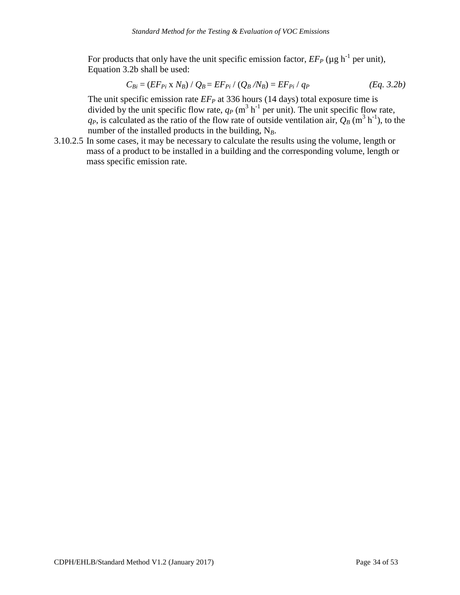For products that only have the unit specific emission factor,  $E F_P$  ( $\mu$ g h<sup>-1</sup> per unit), Equation 3.2b shall be used:

$$
C_{Bi} = (EF_{Pi} \times N_B) / Q_B = EF_{Pi} / (Q_B / N_B) = EF_{Pi} / q_P
$$
 (Eq. 3.2b)

divided by the unit specific flow rate,  $q_P$  (m<sup>3</sup> h<sup>-1</sup> per unit). The unit specific flow rate,  $q_P$ , is calculated as the ratio of the flow rate of outside ventilation air,  $Q_B$  (m<sup>3</sup> h<sup>-1</sup>), to the The unit specific emission rate  $EF<sub>P</sub>$  at 336 hours (14 days) total exposure time is number of the installed products in the building,  $N_B$ .

3.10.2.5 In some cases, it may be necessary to calculate the results using the volume, length or mass of a product to be installed in a building and the corresponding volume, length or mass specific emission rate.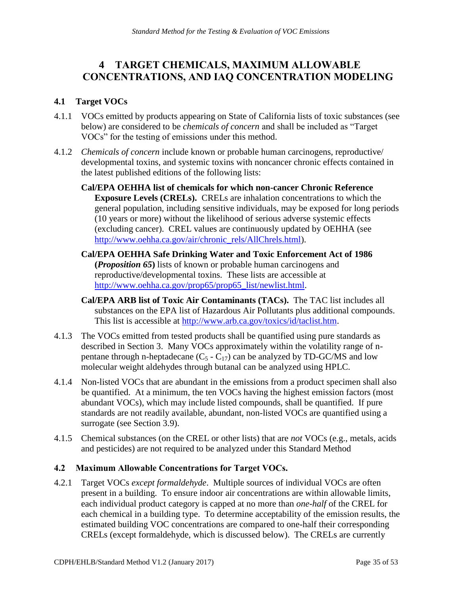#### <span id="page-34-0"></span>**4 TARGET CHEMICALS, MAXIMUM ALLOWABLE CONCENTRATIONS, AND IAQ CONCENTRATION MODELING**

#### <span id="page-34-1"></span>**4.1 Target VOCs**

- 4.1.1 VOCs emitted by products appearing on State of California lists of toxic substances (see below) are considered to be *chemicals of concern* and shall be included as "Target VOCs" for the testing of emissions under this method.
- 4.1.2 *Chemicals of concern* include known or probable human carcinogens, reproductive/ developmental toxins, and systemic toxins with noncancer chronic effects contained in the latest published editions of the following lists:
	- **Cal/EPA OEHHA list of chemicals for which non-cancer Chronic Reference Exposure Levels (CRELs).** CRELs are inhalation concentrations to which the general population, including sensitive individuals, may be exposed for long periods (10 years or more) without the likelihood of serious adverse systemic effects (excluding cancer). [CREL values are continuously updated by OEHHA](http://www.oehha.ca.gov/air/chronic_rels/AllChrels.html) (see [http://www.oehha.ca.gov/air/chronic\\_rels/AllChrels.html\)](http://www.oehha.ca.gov/air/chronic_rels/AllChrels.html).
	- **[Cal/EPA OEHHA Safe Drinking Water and Toxic Enforcement Act of 1986](http://www.oehha.ca.gov/prop65/prop65_list/newlist.html)  (***Proposition 65***)** lists of known or probable human carcinogens and reproductive/developmental toxins. These lists are accessible at [http://www.oehha.ca.gov/prop65/prop65\\_list/newlist.html.](http://www.oehha.ca.gov/prop65/prop65_list/newlist.html)
	- **[Cal/EPA ARB list of Toxic Air Contaminants \(TACs\).](http://www.arb.ca.gov/toxics/id/taclist.htm)** The TAC list includes all substances on the EPA list of Hazardous Air Pollutants plus additional compounds. This list is accessible at [http://www.arb.ca.gov/toxics/id/taclist.htm.](http://www.arb.ca.gov/toxics/id/taclist.htm)
- 4.1.3 The VOCs emitted from tested products shall be quantified using pure standards as described in Section 3. Many VOCs approximately within the volatility range of npentane through n-heptadecane  $(C_5 - C_{17})$  can be analyzed by TD-GC/MS and low molecular weight aldehydes through butanal can be analyzed using HPLC.
- 4.1.4 Non-listed VOCs that are abundant in the emissions from a product specimen shall also be quantified. At a minimum, the ten VOCs having the highest emission factors (most abundant VOCs), which may include listed compounds, shall be quantified. If pure standards are not readily available, abundant, non-listed VOCs are quantified using a surrogate (see Section 3.9).
- 4.1.5 Chemical substances (on the CREL or other lists) that are *not* VOCs (e.g., metals, acids and pesticides) are not required to be analyzed under this Standard Method

#### <span id="page-34-2"></span>**4.2 Maximum Allowable Concentrations for Target VOCs.**

4.2.1 Target VOCs *except formaldehyde*. Multiple sources of individual VOCs are often present in a building. To ensure indoor air concentrations are within allowable limits, each individual product category is capped at no more than *one-half* of the CREL for each chemical in a building type. To determine acceptability of the emission results, the estimated building VOC concentrations are compared to one-half their corresponding CRELs (except formaldehyde, which is discussed below). [The CRELs are currently](http://www.oehha.ca.gov/air/chronic_rels/AllChrels.html)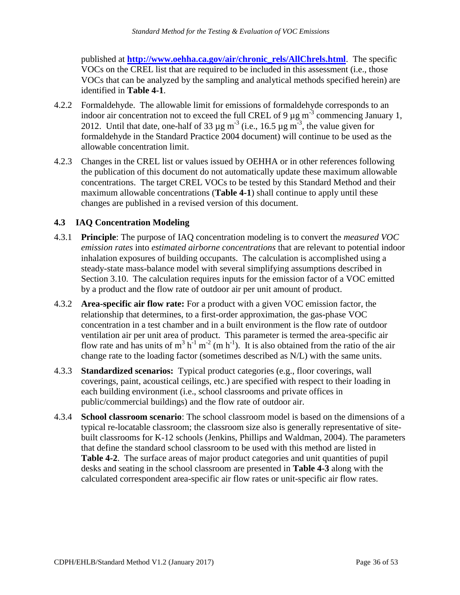published at **[http://www.oehha.ca.gov/air/chronic\\_rels/AllChrels.html](http://www.oehha.ca.gov/air/chronic_rels/AllChrels.html)**. The specific VOCs on the CREL list that are required to be included in this assessment (i.e., those VOCs that can be analyzed by the sampling and analytical methods specified herein) are identified in **Table 4-1**.

- 4.2.2 Formaldehyde. The allowable limit for emissions of formaldehyde corresponds to an indoor air concentration not to exceed the full CREL of 9  $\mu$ g m<sup>-3</sup> commencing January 1, 2012. Until that date, one-half of 33  $\mu$ g m<sup>-3</sup> (i.e., 16.5  $\mu$ g m<sup>-3</sup>, the value given for formaldehyde in the Standard Practice 2004 document) will continue to be used as the allowable concentration limit.
- 4.2.3 Changes in the CREL list or values issued by OEHHA or in other references following the publication of this document do not automatically update these maximum allowable concentrations. The target CREL VOCs to be tested by this Standard Method and their maximum allowable concentrations (**Table 4-1**) shall continue to apply until these changes are published in a revised version of this document.

#### <span id="page-35-0"></span>**4.3 IAQ Concentration Modeling**

- 4.3.1 **Principle**: The purpose of IAQ concentration modeling is to convert the *measured VOC emission rates* into *estimated airborne concentrations* that are relevant to potential indoor inhalation exposures of building occupants. The calculation is accomplished using a steady-state mass-balance model with several simplifying assumptions described in Section 3.10. The calculation requires inputs for the emission factor of a VOC emitted by a product and the flow rate of outdoor air per unit amount of product.
- relationship that determines, to a first-order approximation, the gas-phase VOC flow rate and has units of  $m^3 h^{-1} m^{-2}$  (m h<sup>-1</sup>). It is also obtained from the ratio of the air 4.3.2 **Area-specific air flow rate:** For a product with a given VOC emission factor, the concentration in a test chamber and in a built environment is the flow rate of outdoor ventilation air per unit area of product. This parameter is termed the area-specific air change rate to the loading factor (sometimes described as N/L) with the same units.
- public/commercial buildings) and the flow rate of outdoor air. 4.3.3 **Standardized scenarios:** Typical product categories (e.g., floor coverings, wall coverings, paint, acoustical ceilings, etc.) are specified with respect to their loading in each building environment (i.e., school classrooms and private offices in
- desks and seating in the school classroom are presented in **Table 4-3** along with the 4.3.4 **School classroom scenario**: The school classroom model is based on the dimensions of a typical re-locatable classroom; the classroom size also is generally representative of sitebuilt classrooms for K-12 schools (Jenkins, Phillips and Waldman, 2004). The parameters that define the standard school classroom to be used with this method are listed in **Table 4-2**. The surface areas of major product categories and unit quantities of pupil calculated correspondent area-specific air flow rates or unit-specific air flow rates.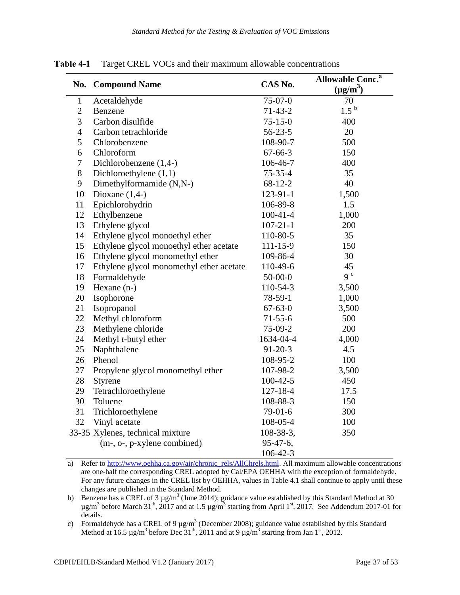|                |                                          |                | <b>Allowable Conc.</b> <sup>a</sup> |
|----------------|------------------------------------------|----------------|-------------------------------------|
| No.            | <b>Compound Name</b>                     | CAS No.        | $(\mu g/m^3)$                       |
| $\mathbf{1}$   | Acetaldehyde                             | $75-07-0$      | 70                                  |
| $\overline{2}$ | Benzene                                  | $71-43-2$      | $1.5^{b}$                           |
| 3              | Carbon disulfide                         | $75 - 15 - 0$  | 400                                 |
| $\overline{4}$ | Carbon tetrachloride                     | $56 - 23 - 5$  | 20                                  |
| 5              | Chlorobenzene                            | 108-90-7       | 500                                 |
| 6              | Chloroform                               | $67 - 66 - 3$  | 150                                 |
| $\tau$         | Dichlorobenzene (1,4-)                   | 106-46-7       | 400                                 |
| 8              | Dichloroethylene $(1,1)$                 | $75 - 35 - 4$  | 35                                  |
| 9              | Dimethylformamide (N,N-)                 | $68-12-2$      | 40                                  |
| 10             | Dioxane $(1,4-)$                         | 123-91-1       | 1,500                               |
| 11             | Epichlorohydrin                          | 106-89-8       | 1.5                                 |
| 12             | Ethylbenzene                             | $100 - 41 - 4$ | 1,000                               |
| 13             | Ethylene glycol                          | $107 - 21 - 1$ | 200                                 |
| 14             | Ethylene glycol monoethyl ether          | 110-80-5       | 35                                  |
| 15             | Ethylene glycol monoethyl ether acetate  | $111 - 15 - 9$ | 150                                 |
| 16             | Ethylene glycol monomethyl ether         | 109-86-4       | 30                                  |
| 17             | Ethylene glycol monomethyl ether acetate | 110-49-6       | 45                                  |
| 18             | Formaldehyde                             | $50 - 00 - 0$  | 9 <sup>c</sup>                      |
| 19             | Hexane (n-)                              | 110-54-3       | 3,500                               |
| 20             | Isophorone                               | 78-59-1        | 1,000                               |
| 21             | Isopropanol                              | $67 - 63 - 0$  | 3,500                               |
| 22             | Methyl chloroform                        | $71 - 55 - 6$  | 500                                 |
| 23             | Methylene chloride                       | 75-09-2        | 200                                 |
| 24             | Methyl t-butyl ether                     | 1634-04-4      | 4,000                               |
| 25             | Naphthalene                              | $91 - 20 - 3$  | 4.5                                 |
| 26             | Phenol                                   | 108-95-2       | 100                                 |
| $27\,$         | Propylene glycol monomethyl ether        | 107-98-2       | 3,500                               |
| 28             | Styrene                                  | $100 - 42 - 5$ | 450                                 |
| 29             | Tetrachloroethylene                      | $127 - 18 - 4$ | 17.5                                |
| 30             | Toluene                                  | 108-88-3       | 150                                 |
| 31             | Trichloroethylene                        | 79-01-6        | 300                                 |
| 32             | Vinyl acetate                            | 108-05-4       | 100                                 |
|                | 33-35 Xylenes, technical mixture         | 108-38-3,      | 350                                 |
|                | (m-, o-, p-xylene combined)              | $95-47-6$ ,    |                                     |
|                |                                          | $106 - 42 - 3$ |                                     |

<span id="page-36-0"></span>**Table 4-1** Target CREL VOCs and their maximum allowable concentrations

a) Refer to [http://www.oehha.ca.gov/air/chronic\\_rels/AllChrels.html.](http://www.oehha.ca.gov/air/chronic_rels/AllChrels.html) All maximum allowable concentrations are one-half the corresponding CREL adopted by Cal/EPA OEHHA with the exception of formaldehyde. For any future changes in the CREL list by OEHHA, values in Table 4.1 shall continue to apply until these changes are published in the Standard Method.

b) Benzene has a CREL of 3  $\mu$ g/m<sup>3</sup> (June 2014); guidance value established by this Standard Method at 30  $\mu$ g/m<sup>3</sup> before March 31<sup>th</sup>, 2017 and at 1.5  $\mu$ g/m<sup>3</sup> starting from April 1<sup>st</sup>, 2017. See Addendum 2017-01  $\mu$ g/m<sup>3</sup> before March 31<sup>th</sup>, 2017 and at 1.5  $\mu$ g/m<sup>3</sup> starting from April 1<sup>st</sup>, 2017. See Addendum 2017-01 for details.

c) Formaldehyde has a CREL of 9  $\mu$ g/m<sup>3</sup> (December 2008); guidance value established by this Standard Method at 16.5  $\mu$ g/m<sup>3</sup> before Dec 31<sup>th</sup>, 2011 and at 9  $\mu$ g/m<sup>3</sup> starting from Jan 1<sup>st</sup>, 2012.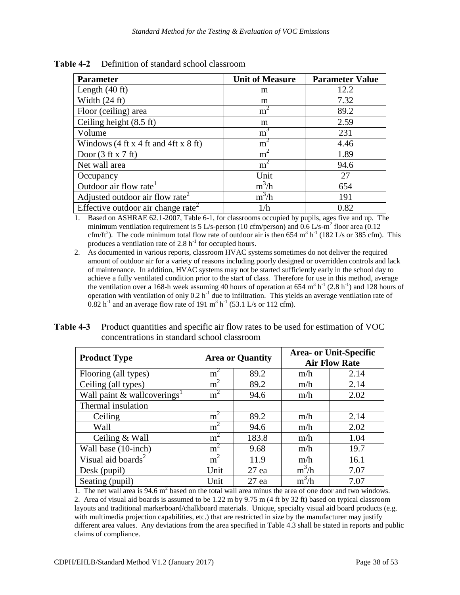| <b>Parameter</b>                                                           | <b>Unit of Measure</b> | <b>Parameter Value</b> |
|----------------------------------------------------------------------------|------------------------|------------------------|
| Length $(40 \text{ ft})$                                                   | m                      | 12.2                   |
| Width $(24 \text{ ft})$                                                    | m                      | 7.32                   |
| Floor (ceiling) area                                                       | m <sup>2</sup>         | 89.2                   |
| Ceiling height (8.5 ft)                                                    | m                      | 2.59                   |
| Volume                                                                     | m <sup>3</sup>         | 231                    |
| Windows $(4 \text{ ft } x 4 \text{ ft } and 4 \text{ ft } x 8 \text{ ft})$ | m <sup>2</sup>         | 4.46                   |
| Door $(3 \text{ ft } x 7 \text{ ft})$                                      | $\overline{m}^2$       | 1.89                   |
| Net wall area                                                              | m <sup>2</sup>         | 94.6                   |
| Occupancy                                                                  | Unit                   | 27                     |
| Outdoor air flow rate <sup>1</sup>                                         | $m^3/h$                | 654                    |
| Adjusted outdoor air flow rate <sup>2</sup>                                | $m^3/h$                | 191                    |
| Effective outdoor air change rate <sup>2</sup>                             | 1/h                    | 0.82                   |

<span id="page-37-0"></span> **Table 4-2** Definition of standard school classroom

 1. Based on ASHRAE 62.1-2007, Table 6-1, for classrooms occupied by pupils, ages five and up. The minimum ventilation requirement is 5 L/s-person (10 cfm/person) and 0.6 L/s-m<sup>2</sup> floor area (0.12) minimum ventilation requirement is 5 L/s-person (10 cfm/person) and  $0.6$  L/s-m<sup>2</sup> floor area (0.12 cfm/ft<sup>2</sup>). The code minimum total flow rate of outdoor air is then 654 m<sup>3</sup> h<sup>-1</sup> (182 L/s or 385 cfm). This produces a ventilation rate of 2.8  $h^{-1}$  for occupied hours.

 2. As documented in various reports, classroom HVAC systems sometimes do not deliver the required amount of outdoor air for a variety of reasons including poorly designed or overridden controls and lack of maintenance. In addition, HVAC systems may not be started sufficiently early in the school day to achieve a fully ventilated condition prior to the start of class. Therefore for use in this method, average achieve a fully ventilated condition prior to the start of class. Therefore for use in this method, average the ventilation over a 168-h week assuming 40 hours of operation at 654 m<sup>3</sup> h<sup>-1</sup> (2.8 h<sup>-1</sup>) and 128 hours of operation with ventilation of only 0.2 h<sup>-1</sup> due to infiltration. This yields an average ventilation rate of  $0.82$  h<sup>-1</sup> and an average flow rate of 191 m<sup>3</sup> h<sup>-1</sup> (53.1 L/s or 112 cfm).  $0.82$  h<sup>-1</sup> and an average flow rate of 191 m<sup>3</sup> h<sup>-1</sup> (53.1 L/s or 112 cfm).

| <b>Product Type</b>                     | <b>Area or Quantity</b> |         | <b>Area- or Unit-Specific</b><br><b>Air Flow Rate</b> |      |
|-----------------------------------------|-------------------------|---------|-------------------------------------------------------|------|
| Flooring (all types)                    | m <sup>2</sup>          | 89.2    | m/h                                                   | 2.14 |
| Ceiling (all types)                     | m <sup>2</sup>          | 89.2    | m/h                                                   | 2.14 |
| Wall paint & wallcoverings <sup>1</sup> | m <sup>2</sup>          | 94.6    | m/h                                                   | 2.02 |
| Thermal insulation                      |                         |         |                                                       |      |
| Ceiling                                 | m <sup>2</sup>          | 89.2    | m/h                                                   | 2.14 |
| Wall                                    | m <sup>2</sup>          | 94.6    | m/h                                                   | 2.02 |
| Ceiling & Wall                          | m <sup>2</sup>          | 183.8   | m/h                                                   | 1.04 |
| Wall base (10-inch)                     | m <sup>2</sup>          | 9.68    | m/h                                                   | 19.7 |
| Visual aid boards <sup>2</sup>          | m <sup>2</sup>          | 11.9    | m/h                                                   | 16.1 |
| Desk (pupil)                            | Unit                    | $27$ ea | $m^3/h$                                               | 7.07 |
| Seating (pupil)                         | Unit                    | $27$ ea | $m^3/h$                                               | 7.07 |

<span id="page-37-1"></span>**Table 4-3** Product quantities and specific air flow rates to be used for estimation of VOC concentrations in standard school classroom

1. The net wall area is  $94.6 \text{ m}^2$  based on the total wall area minus the area of one door and two windows. 2. Area of visual aid boards is assumed to be 1.22 m by 9.75 m (4 ft by 32 ft) based on typical classroom layouts and traditional markerboard/chalkboard materials. Unique, specialty visual aid board products (e.g. with multimedia projection capabilities, etc.) that are restricted in size by the manufacturer may justify different area values. Any deviations from the area specified in Table 4.3 shall be stated in reports and public claims of compliance.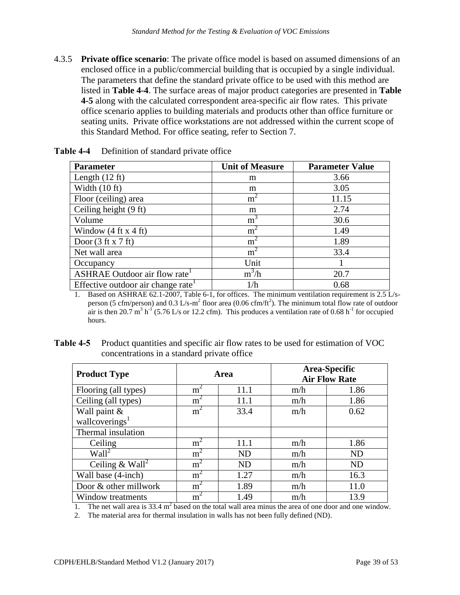this Standard Method. For office seating, refer to Section 7. 4.3.5 **Private office scenario**: The private office model is based on assumed dimensions of an enclosed office in a public/commercial building that is occupied by a single individual. The parameters that define the standard private office to be used with this method are listed in **Table 4-4**. The surface areas of major product categories are presented in **Table 4-5** along with the calculated correspondent area-specific air flow rates. This private office scenario applies to building materials and products other than office furniture or seating units. Private office workstations are not addressed within the current scope of

| <b>Parameter</b>                            | <b>Unit of Measure</b> | <b>Parameter Value</b> |
|---------------------------------------------|------------------------|------------------------|
| Length $(12 \text{ ft})$                    | m                      | 3.66                   |
| Width $(10 \text{ ft})$                     | m                      | 3.05                   |
| Floor (ceiling) area                        | $m^{\prime}$           | 11.15                  |
| Ceiling height (9 ft)                       | m                      | 2.74                   |
| Volume                                      | m <sup>'</sup>         | 30.6                   |
| Window $(4 \text{ ft} \times 4 \text{ ft})$ | $m^{\prime}$           | 1.49                   |
| Door $(3 \text{ ft } x 7 \text{ ft})$       | m <sup>2</sup>         | 1.89                   |
| Net wall area                               | m <sup>2</sup>         | 33.4                   |
| Occupancy                                   | Unit                   |                        |
| ASHRAE Outdoor air flow rate <sup>1</sup>   | $m^3/h$                | 20.7                   |
| Effective outdoor air change rate           | 1/h                    | 0.68                   |

<span id="page-38-0"></span> **Table 4-4** Definition of standard private office

 1. Based on ASHRAE 62.1-2007, Table 6-1, for offices. The minimum ventilation requirement is 2.5 L/sperson (5 cfm/person) and 0.3 L/s-m<sup>2</sup> floor area (0.06 cfm/ft<sup>2</sup> person (5 cfm/person) and 0.3 L/s-m<sup>2</sup> floor area (0.06 cfm/ft<sup>2</sup>). The minimum total flow rate of outdoor air is then 20.7 m<sup>3</sup> h<sup>-1</sup> (5.76 L/s or 12.2 cfm). This produces a ventilation rate of 0.68 h<sup>-1</sup> for occupied hours.

<span id="page-38-1"></span>

| <b>Table 4-5</b> Product quantities and specific air flow rates to be used for estimation of VOC |
|--------------------------------------------------------------------------------------------------|
| concentrations in a standard private office.                                                     |

| <b>Product Type</b>            | Area           |           | Area-Specific<br><b>Air Flow Rate</b> |           |
|--------------------------------|----------------|-----------|---------------------------------------|-----------|
| Flooring (all types)           | m <sup>2</sup> | 11.1      | m/h                                   | 1.86      |
| Ceiling (all types)            | m <sup>2</sup> | 11.1      | m/h                                   | 1.86      |
| Wall paint &                   | m <sup>2</sup> | 33.4      | m/h                                   | 0.62      |
| wallcoverings <sup>1</sup>     |                |           |                                       |           |
| Thermal insulation             |                |           |                                       |           |
| Ceiling                        | $m^{\prime}$   | 11.1      | m/h                                   | 1.86      |
| $\overline{\text{Wall}^2}$     | m <sup>2</sup> | <b>ND</b> | m/h                                   | <b>ND</b> |
| Ceiling $\&$ Wall <sup>2</sup> | m <sup>2</sup> | <b>ND</b> | m/h                                   | ND        |
| Wall base (4-inch)             | $m^2$          | 1.27      | m/h                                   | 16.3      |
| Door & other millwork          | m <sup>2</sup> | 1.89      | m/h                                   | 11.0      |
| Window treatments              | m              | 1.49      | m/h                                   | 13.9      |

1. The net wall area is  $33.4 \text{ m}^2$  based on the total wall area minus the area of one door and one window.

2. The material area for thermal insulation in walls has not been fully defined (ND).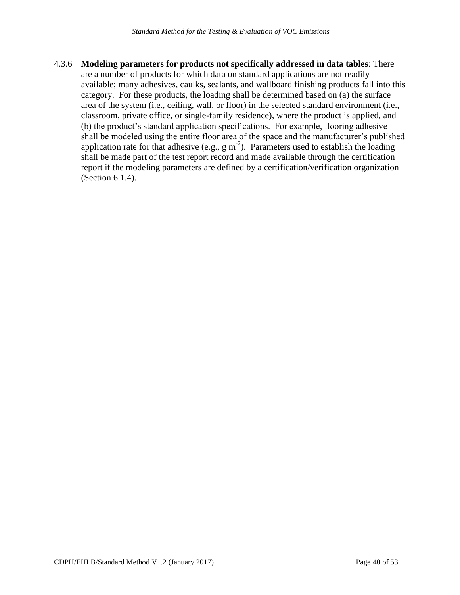4.3.6 **Modeling parameters for products not specifically addressed in data tables**: There are a number of products for which data on standard applications are not readily available; many adhesives, caulks, sealants, and wallboard finishing products fall into this category. For these products, the loading shall be determined based on (a) the surface area of the system (i.e., ceiling, wall, or floor) in the selected standard environment (i.e., classroom, private office, or single-family residence), where the product is applied, and (b) the product's standard application specifications. For example, flooring adhesive shall be modeled using the entire floor area of the space and the manufacturer's published application rate for that adhesive (e.g.,  $g m^{-2}$ ). Parameters used to establish the loading shall be made part of the test report record and made available through the certification report if the modeling parameters are defined by a certification/verification organization (Section 6.1.4).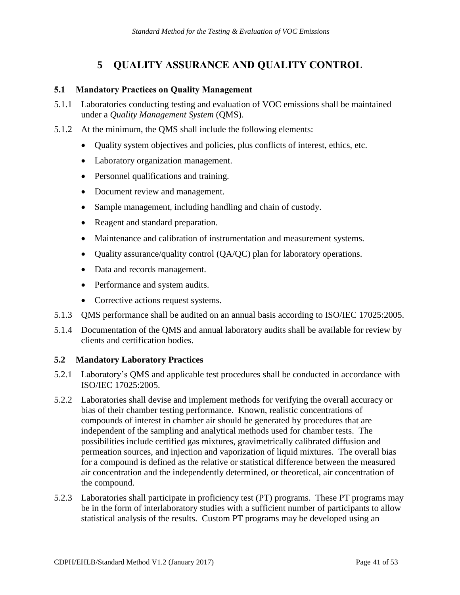#### **5 QUALITY ASSURANCE AND QUALITY CONTROL**

#### <span id="page-40-1"></span><span id="page-40-0"></span>**5.1 Mandatory Practices on Quality Management**

- under a *Quality Management System* (QMS). 5.1.1 Laboratories conducting testing and evaluation of VOC emissions shall be maintained
- 5.1.2 At the minimum, the QMS shall include the following elements:
	- Quality system objectives and policies, plus conflicts of interest, ethics, etc.
	- Laboratory organization management.
	- Personnel qualifications and training.
	- Document review and management.
	- Sample management, including handling and chain of custody.
	- Reagent and standard preparation.
	- Maintenance and calibration of instrumentation and measurement systems.
	- Quality assurance/quality control (QA/QC) plan for laboratory operations.
	- Data and records management.
	- Performance and system audits.
	- Corrective actions request systems.
- 5.1.3 QMS performance shall be audited on an annual basis according to ISO/IEC 17025:2005.
- 5.1.4 Documentation of the QMS and annual laboratory audits shall be available for review by clients and certification bodies.

#### <span id="page-40-2"></span>**5.2 Mandatory Laboratory Practices**

- 5.2.1 Laboratory's QMS and applicable test procedures shall be conducted in accordance with ISO/IEC 17025:2005.
- 5.2.2 Laboratories shall devise and implement methods for verifying the overall accuracy or bias of their chamber testing performance. Known, realistic concentrations of compounds of interest in chamber air should be generated by procedures that are independent of the sampling and analytical methods used for chamber tests. The possibilities include certified gas mixtures, gravimetrically calibrated diffusion and permeation sources, and injection and vaporization of liquid mixtures. The overall bias for a compound is defined as the relative or statistical difference between the measured air concentration and the independently determined, or theoretical, air concentration of the compound.
- 5.2.3 Laboratories shall participate in proficiency test (PT) programs. These PT programs may be in the form of interlaboratory studies with a sufficient number of participants to allow statistical analysis of the results. Custom PT programs may be developed using an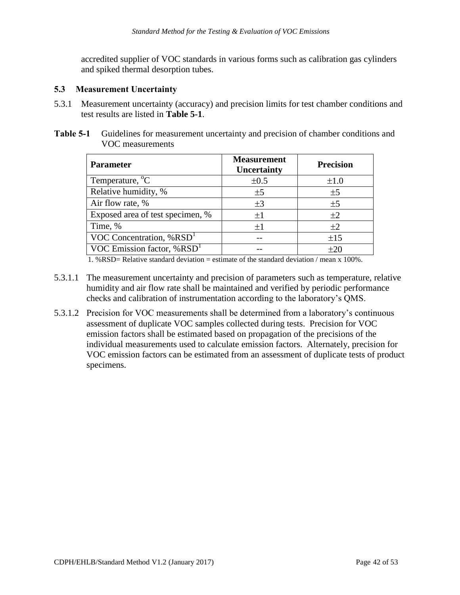accredited supplier of VOC standards in various forms such as calibration gas cylinders and spiked thermal desorption tubes.

#### <span id="page-41-0"></span>**5.3 Measurement Uncertainty**

- 5.3.1 Measurement uncertainty (accuracy) and precision limits for test chamber conditions and test results are listed in **Table 5-1**.
- <span id="page-41-1"></span>**Table 5-1**  VOC measurements Guidelines for measurement uncertainty and precision of chamber conditions and

| <b>Measurement</b><br>Uncertainty | <b>Precision</b> |
|-----------------------------------|------------------|
| $\pm 0.5$                         | $\pm 1.0$        |
| ±5                                | ±5               |
| $\pm 3$                           | ±5               |
| ±1                                | $\pm 2$          |
| $\pm 1$                           | $\pm 2$          |
|                                   | ±15              |
|                                   | $\pm 20$         |
|                                   |                  |

1. %RSD= Relative standard deviation = estimate of the standard deviation / mean x 100%.

- 5.3.1.1 The measurement uncertainty and precision of parameters such as temperature, relative humidity and air flow rate shall be maintained and verified by periodic performance checks and calibration of instrumentation according to the laboratory's QMS.
- 5.3.1.2 Precision for VOC measurements shall be determined from a laboratory's continuous assessment of duplicate VOC samples collected during tests. Precision for VOC emission factors shall be estimated based on propagation of the precisions of the individual measurements used to calculate emission factors. Alternately, precision for VOC emission factors can be estimated from an assessment of duplicate tests of product specimens.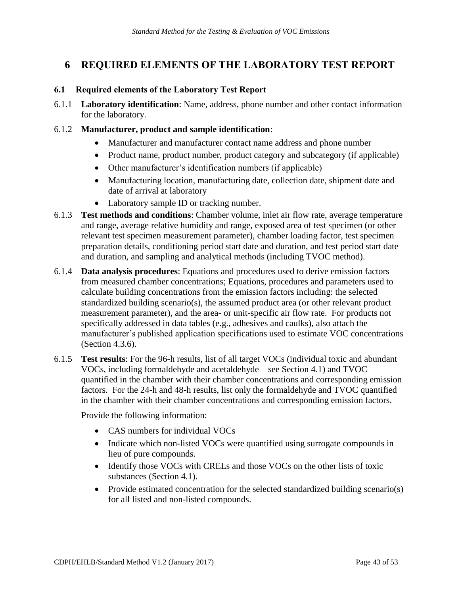#### <span id="page-42-0"></span>**6 REQUIRED ELEMENTS OF THE LABORATORY TEST REPORT**

#### <span id="page-42-1"></span>**6.1 Required elements of the Laboratory Test Report**

6.1.1 **Laboratory identification**: Name, address, phone number and other contact information for the laboratory.

#### 6.1.2 **Manufacturer, product and sample identification**:

- Manufacturer and manufacturer contact name address and phone number
- Product name, product number, product category and subcategory (if applicable)
- Other manufacturer's identification numbers (if applicable)
- Manufacturing location, manufacturing date, collection date, shipment date and date of arrival at laboratory
- Laboratory sample ID or tracking number.
- 6.1.3 **Test methods and conditions**: Chamber volume, inlet air flow rate, average temperature and range, average relative humidity and range, exposed area of test specimen (or other relevant test specimen measurement parameter), chamber loading factor, test specimen preparation details, conditioning period start date and duration, and test period start date and duration, and sampling and analytical methods (including TVOC method).
- 6.1.4 **Data analysis procedures**: Equations and procedures used to derive emission factors from measured chamber concentrations; Equations, procedures and parameters used to calculate building concentrations from the emission factors including: the selected standardized building scenario(s), the assumed product area (or other relevant product measurement parameter), and the area- or unit-specific air flow rate. For products not specifically addressed in data tables (e.g., adhesives and caulks), also attach the manufacturer's published application specifications used to estimate VOC concentrations (Section 4.3.6).
- VOCs, including formaldehyde and acetaldehyde see Section 4.1) and TVOC 6.1.5 **Test results**: For the 96-h results, list of all target VOCs (individual toxic and abundant quantified in the chamber with their chamber concentrations and corresponding emission factors. For the 24-h and 48-h results, list only the formaldehyde and TVOC quantified in the chamber with their chamber concentrations and corresponding emission factors.

Provide the following information:

- CAS numbers for individual VOCs
- Indicate which non-listed VOCs were quantified using surrogate compounds in lieu of pure compounds.
- Identify those VOCs with CRELs and those VOCs on the other lists of toxic substances (Section 4.1).
- Provide estimated concentration for the selected standardized building scenario(s) for all listed and non-listed compounds.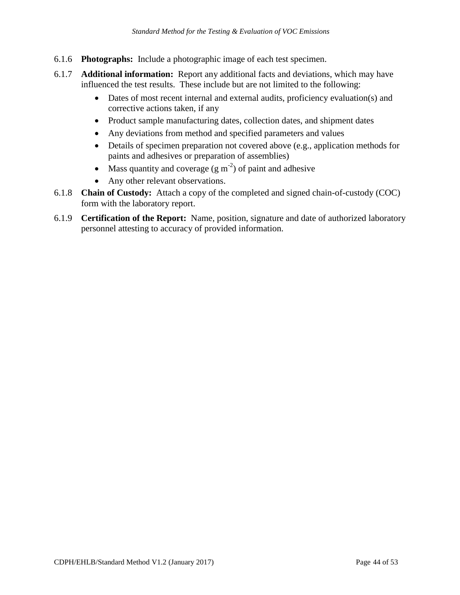- 6.1.6 **Photographs:** Include a photographic image of each test specimen.
- 6.1.7 **Additional information:** Report any additional facts and deviations, which may have influenced the test results. These include but are not limited to the following:
	- Dates of most recent internal and external audits, proficiency evaluation(s) and corrective actions taken, if any
	- Product sample manufacturing dates, collection dates, and shipment dates
	- Any deviations from method and specified parameters and values
	- Details of specimen preparation not covered above (e.g., application methods for paints and adhesives or preparation of assemblies)
	- Mass quantity and coverage  $(g m<sup>-2</sup>)$  of paint and adhesive
	- Any other relevant observations.
- form with the laboratory report. 6.1.8 **Chain of Custody:** Attach a copy of the completed and signed chain-of-custody (COC)
- 6.1.9 **Certification of the Report:** Name, position, signature and date of authorized laboratory personnel attesting to accuracy of provided information.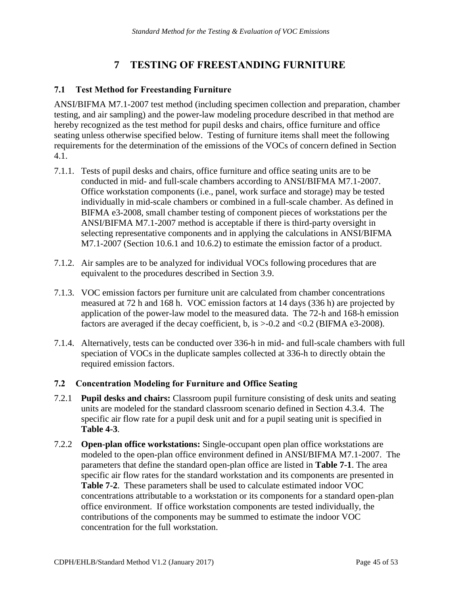#### **7 TESTING OF FREESTANDING FURNITURE**

#### <span id="page-44-1"></span><span id="page-44-0"></span>**7.1 Test Method for Freestanding Furniture**

ANSI/BIFMA M7.1-2007 test method (including specimen collection and preparation, chamber testing, and air sampling) and the power-law modeling procedure described in that method are hereby recognized as the test method for pupil desks and chairs, office furniture and office seating unless otherwise specified below. Testing of furniture items shall meet the following requirements for the determination of the emissions of the VOCs of concern defined in Section 4.1.

- M7.1-2007 (Section 10.6.1 and 10.6.2) to estimate the emission factor of a product. 7.1.1. Tests of pupil desks and chairs, office furniture and office seating units are to be conducted in mid- and full-scale chambers according to ANSI/BIFMA M7.1-2007. Office workstation components (i.e., panel, work surface and storage) may be tested individually in mid-scale chambers or combined in a full-scale chamber. As defined in BIFMA e3-2008, small chamber testing of component pieces of workstations per the ANSI/BIFMA M7.1-2007 method is acceptable if there is third-party oversight in selecting representative components and in applying the calculations in ANSI/BIFMA
- 7.1.2. Air samples are to be analyzed for individual VOCs following procedures that are equivalent to the procedures described in Section 3.9.
- measured at 72 h and 168 h. VOC emission factors at 14 days (336 h) are projected by 7.1.3. VOC emission factors per furniture unit are calculated from chamber concentrations application of the power-law model to the measured data. The 72-h and 168-h emission factors are averaged if the decay coefficient, b, is  $> 0.2$  and  $< 0.2$  (BIFMA e3-2008).
- 7.1.4. Alternatively, tests can be conducted over 336-h in mid- and full-scale chambers with full speciation of VOCs in the duplicate samples collected at 336-h to directly obtain the required emission factors.

#### <span id="page-44-2"></span>**7.2 Concentration Modeling for Furniture and Office Seating**

- 7.2.1 **Pupil desks and chairs:** Classroom pupil furniture consisting of desk units and seating units are modeled for the standard classroom scenario defined in Section 4.3.4. The specific air flow rate for a pupil desk unit and for a pupil seating unit is specified in **Table 4-3**.
- 7.2.2 **Open-plan office workstations:** Single-occupant open plan office workstations are modeled to the open-plan office environment defined in ANSI/BIFMA M7.1-2007. The parameters that define the standard open-plan office are listed in **Table 7-1**. The area specific air flow rates for the standard workstation and its components are presented in **Table 7-2**. These parameters shall be used to calculate estimated indoor VOC concentrations attributable to a workstation or its components for a standard open-plan office environment. If office workstation components are tested individually, the contributions of the components may be summed to estimate the indoor VOC concentration for the full workstation.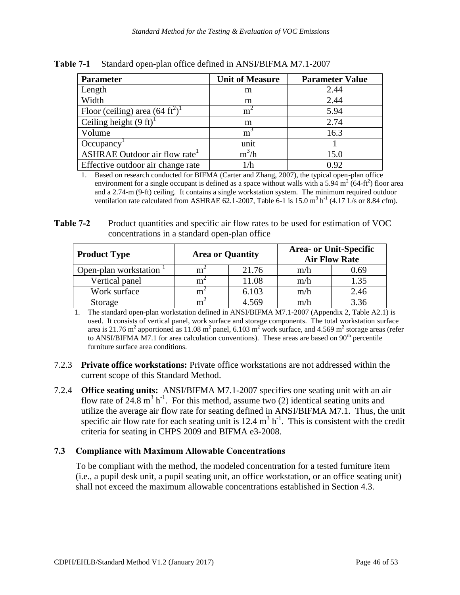| <b>Parameter</b>                         | <b>Unit of Measure</b> | <b>Parameter Value</b> |  |
|------------------------------------------|------------------------|------------------------|--|
| Length                                   | m                      | 2.44                   |  |
| Width                                    | m                      | 2.44                   |  |
| Floor (ceiling) area $(64 \text{ ft}^2)$ | m                      | 5.94                   |  |
| Ceiling height $(9 \text{ ft})^1$        | m                      | 2.74                   |  |
| Volume                                   | m <sup>3</sup>         | 16.3                   |  |
| Occupancy                                | unit                   |                        |  |
| ASHRAE Outdoor air flow rate             | $m^3/h$                | 15.0                   |  |
| Effective outdoor air change rate        | l/h                    | 0.92                   |  |

<span id="page-45-1"></span>**Table 7-1 Table 7-1** Standard open-plan office defined in ANSI/BIFMA M7.1-2007

 1. Based on research conducted for BIFMA (Carter and Zhang, 2007), the typical open-plan office environment for a single occupant is defined as a space without walls with a 5.94 m<sup>2</sup> (64-ft<sup>2</sup>) floor area and a 2.74-m (9-ft) ceiling. It contains a single workstation system. The minimum required outdoor ventilation rate calculated from ASHRAE 62.1-2007, Table 6-1 is 15.0 m<sup>3</sup> h<sup>-1</sup> (4.17 L/s or 8.84 cfm).

<span id="page-45-2"></span>

| Table 7-2 | Product quantities and specific air flow rates to be used for estimation of VOC |
|-----------|---------------------------------------------------------------------------------|
|           | concentrations in a standard open-plan office                                   |

| <b>Product Type</b>   | <b>Area or Quantity</b> |       |     | <b>Area- or Unit-Specific</b><br><b>Air Flow Rate</b> |
|-----------------------|-------------------------|-------|-----|-------------------------------------------------------|
| Open-plan workstation | m                       | 21.76 | m/h | 0.69                                                  |
| Vertical panel        | m                       | 11.08 | m/h | 1.35                                                  |
| Work surface          | m                       | 6.103 | m/h | 2.46                                                  |
| Storage               | m                       | 4.569 | m/h | 3.36                                                  |

 1. The standard open-plan workstation defined in ANSI/BIFMA M7.1-2007 (Appendix 2, Table A2.1) is used. It consists of vertical panel, work surface and storage components. The total workstation surface used. It consists of vertical panel, work surface and storage components. The total workstation surface area is  $21.76$  m<sup>2</sup> apportioned as  $11.08$  m<sup>2</sup> panel, 6.103 m<sup>2</sup> work surface, and 4.569 m<sup>2</sup> storage areas (refer to ANSI/BIFMA M7.1 for area calculation conventions). These areas are based on  $90<sup>th</sup>$  percentile furniture surface area conditions.

- 7.2.3 **Private office workstations:** Private office workstations are not addressed within the current scope of this Standard Method.
- flow rate of  $24.8 \text{ m}^3 \text{ h}^{-1}$ . For this method, assume two (2) identical seating units and 7.2.4 **Office seating units:** ANSI/BIFMA M7.1-2007 specifies one seating unit with an air utilize the average air flow rate for seating defined in ANSI/BIFMA M7.1. Thus, the unit specific air flow rate for each seating unit is  $12.4 \text{ m}^3 \text{ h}^{-1}$ . This is consistent with the credit criteria for seating in CHPS 2009 and BIFMA e3-2008.

#### <span id="page-45-0"></span>**7.3 Compliance with Maximum Allowable Concentrations**

To be compliant with the method, the modeled concentration for a tested furniture item (i.e., a pupil desk unit, a pupil seating unit, an office workstation, or an office seating unit) shall not exceed the maximum allowable concentrations established in Section 4.3.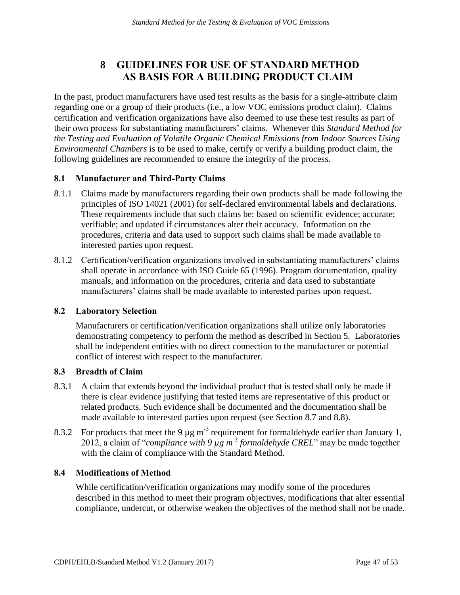# **<sup>8</sup>GUIDELINES FOR USE OF STANDARD METHOD AS BASIS FOR A BUILDING PRODUCT CLAIM**

<span id="page-46-0"></span>*Standard Method for the Testing & Evaluation of VOC Emissions*<br> **IDELINES FOR USE OF STANDARD METHOD**<br> **S BASIS FOR A BUILDING PRODUCT CLAIM**<br>
aanufacturers have used test results as the basis for a single-attribute<br>
out In the past, product manufacturers have used test results as the basis for a single-attribute claim regarding one or a group of their products (i.e., a low VOC emissions product claim). Claims certification and verification organizations have also deemed to use these test results as part of their own process for substantiating manufacturers' claims. Whenever this *Standard Method for the Testing and Evaluation of Volatile Organic Chemical Emissions from Indoor Sources Using Environmental Chambers* is to be used to make, certify or verify a building product claim, the following guidelines are recommended to ensure the integrity of the process.

#### <span id="page-46-1"></span>**8.1 Manufacturer and Third-Party Claims**

- 8.1.1 Claims made by manufacturers regarding their own products shall be made following the principles of ISO 14021 (2001) for self-declared environmental labels and declarations. These requirements include that such claims be: based on scientific evidence; accurate; verifiable; and updated if circumstances alter their accuracy. Information on the procedures, criteria and data used to support such claims shall be made available to interested parties upon request.
- 8.1.2 Certification/verification organizations involved in substantiating manufacturers' claims shall operate in accordance with ISO Guide 65 (1996). Program documentation, quality manuals, and information on the procedures, criteria and data used to substantiate manufacturers' claims shall be made available to interested parties upon request.

#### <span id="page-46-2"></span>**8.2 Laboratory Selection**

Manufacturers or certification/verification organizations shall utilize only laboratories demonstrating competency to perform the method as described in Section 5. Laboratories shall be independent entities with no direct connection to the manufacturer or potential conflict of interest with respect to the manufacturer.

#### <span id="page-46-3"></span>**8.3 Breadth of Claim**

- 8.3.1 A claim that extends beyond the individual product that is tested shall only be made if there is clear evidence justifying that tested items are representative of this product or related products. Such evidence shall be documented and the documentation shall be made available to interested parties upon request (see Section 8.7 and 8.8).
- 8.3.2 For products that meet the 9  $\mu$ g m<sup>-3</sup> requirement for formaldehyde earlier than January 1, 2012, a claim of "*compliance with 9 µg m-3 formaldehyde CREL*" may be made together with the claim of compliance with the Standard Method.

#### <span id="page-46-4"></span>**8.4 Modifications of Method**

 compliance, undercut, or otherwise weaken the objectives of the method shall not be made. While certification/verification organizations may modify some of the procedures described in this method to meet their program objectives, modifications that alter essential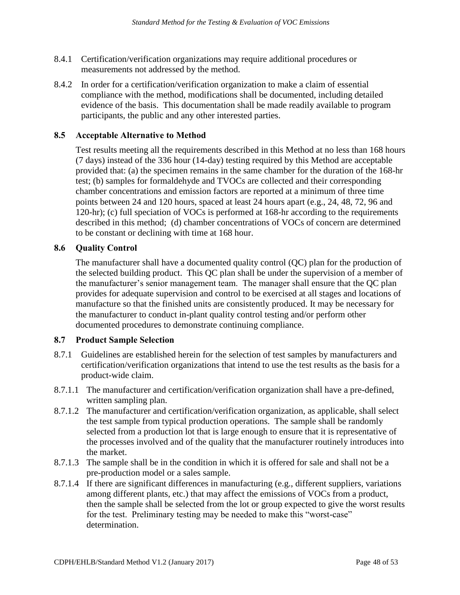- 8.4.1 Certification/verification organizations may require additional procedures or measurements not addressed by the method.
- 8.4.2 In order for a certification/verification organization to make a claim of essential compliance with the method, modifications shall be documented, including detailed evidence of the basis. This documentation shall be made readily available to program participants, the public and any other interested parties.

#### <span id="page-47-0"></span> **8.5 Acceptable Alternative to Method**

Test results meeting all the requirements described in this Method at no less than 168 hours (7 days) instead of the 336 hour (14-day) testing required by this Method are acceptable provided that: (a) the specimen remains in the same chamber for the duration of the 168-hr test; (b) samples for formaldehyde and TVOCs are collected and their corresponding chamber concentrations and emission factors are reported at a minimum of three time points between 24 and 120 hours, spaced at least 24 hours apart (e.g., 24, 48, 72, 96 and 120-hr); (c) full speciation of VOCs is performed at 168-hr according to the requirements described in this method; (d) chamber concentrations of VOCs of concern are determined to be constant or declining with time at 168 hour.

#### <span id="page-47-1"></span>**8.6 Quality Control**

The manufacturer shall have a documented quality control (QC) plan for the production of the selected building product. This QC plan shall be under the supervision of a member of the manufacturer's senior management team. The manager shall ensure that the QC plan provides for adequate supervision and control to be exercised at all stages and locations of manufacture so that the finished units are consistently produced. It may be necessary for the manufacturer to conduct in-plant quality control testing and/or perform other documented procedures to demonstrate continuing compliance.

#### <span id="page-47-2"></span>**8.7 Product Sample Selection**

- product-wide claim. 8.7.1 Guidelines are established herein for the selection of test samples by manufacturers and certification/verification organizations that intend to use the test results as the basis for a
- 8.7.1.1 The manufacturer and certification/verification organization shall have a pre-defined, written sampling plan.
- 8.7.1.2 The manufacturer and certification/verification organization, as applicable, shall select the test sample from typical production operations. The sample shall be randomly selected from a production lot that is large enough to ensure that it is representative of the processes involved and of the quality that the manufacturer routinely introduces into the market.
- 8.7.1.3 The sample shall be in the condition in which it is offered for sale and shall not be a pre-production model or a sales sample.
- 8.7.1.4 If there are significant differences in manufacturing (e.g., different suppliers, variations among different plants, etc.) that may affect the emissions of VOCs from a product, then the sample shall be selected from the lot or group expected to give the worst results for the test. Preliminary testing may be needed to make this "worst-case" determination.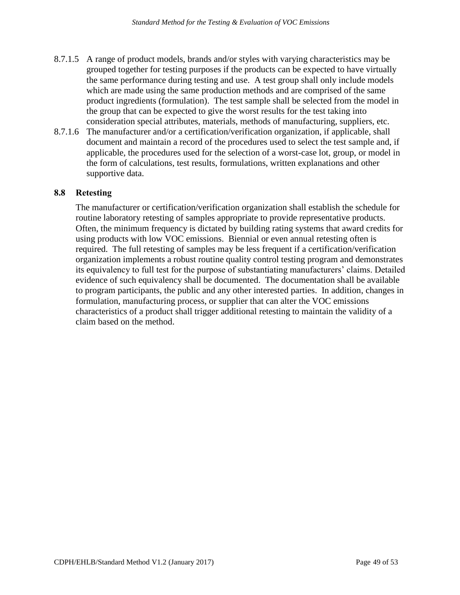- 8.7.1.5 A range of product models, brands and/or styles with varying characteristics may be grouped together for testing purposes if the products can be expected to have virtually the same performance during testing and use. A test group shall only include models which are made using the same production methods and are comprised of the same product ingredients (formulation). The test sample shall be selected from the model in the group that can be expected to give the worst results for the test taking into consideration special attributes, materials, methods of manufacturing, suppliers, etc.
- 8.7.1.6 The manufacturer and/or a certification/verification organization, if applicable, shall document and maintain a record of the procedures used to select the test sample and, if applicable, the procedures used for the selection of a worst-case lot, group, or model in the form of calculations, test results, formulations, written explanations and other supportive data.

#### <span id="page-48-0"></span>**8.8 Retesting**

 characteristics of a product shall trigger additional retesting to maintain the validity of a The manufacturer or certification/verification organization shall establish the schedule for routine laboratory retesting of samples appropriate to provide representative products. Often, the minimum frequency is dictated by building rating systems that award credits for using products with low VOC emissions. Biennial or even annual retesting often is required. The full retesting of samples may be less frequent if a certification/verification organization implements a robust routine quality control testing program and demonstrates its equivalency to full test for the purpose of substantiating manufacturers' claims. Detailed evidence of such equivalency shall be documented. The documentation shall be available to program participants, the public and any other interested parties. In addition, changes in formulation, manufacturing process, or supplier that can alter the VOC emissions claim based on the method.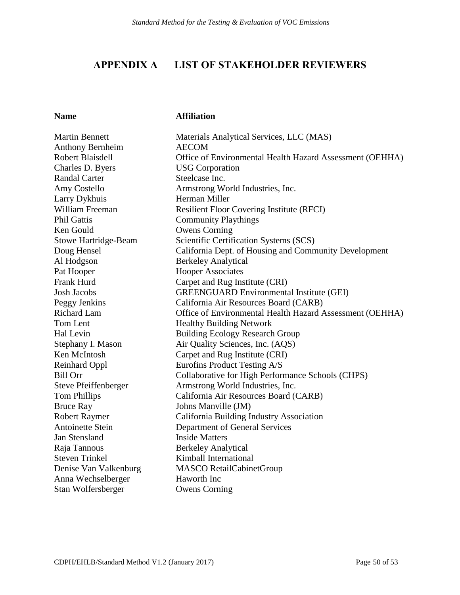### <span id="page-49-0"></span>**APPENDIX A LIST OF STAKEHOLDER REVIEWERS**

#### **Name Affiliation**

| <b>Martin Bennett</b>       | Materials Analytical Services, LLC (MAS)                 |
|-----------------------------|----------------------------------------------------------|
| <b>Anthony Bernheim</b>     | <b>AECOM</b>                                             |
| Robert Blaisdell            | Office of Environmental Health Hazard Assessment (OEHHA) |
| Charles D. Byers            | <b>USG</b> Corporation                                   |
| <b>Randal Carter</b>        | Steelcase Inc.                                           |
| Amy Costello                | Armstrong World Industries, Inc.                         |
| Larry Dykhuis               | Herman Miller                                            |
| William Freeman             | <b>Resilient Floor Covering Institute (RFCI)</b>         |
| Phil Gattis                 | <b>Community Playthings</b>                              |
| Ken Gould                   | <b>Owens Corning</b>                                     |
| <b>Stowe Hartridge-Beam</b> | Scientific Certification Systems (SCS)                   |
| Doug Hensel                 | California Dept. of Housing and Community Development    |
| Al Hodgson                  | <b>Berkeley Analytical</b>                               |
| Pat Hooper                  | <b>Hooper Associates</b>                                 |
| Frank Hurd                  | Carpet and Rug Institute (CRI)                           |
| <b>Josh Jacobs</b>          | <b>GREENGUARD Environmental Institute (GEI)</b>          |
| Peggy Jenkins               | California Air Resources Board (CARB)                    |
| <b>Richard Lam</b>          | Office of Environmental Health Hazard Assessment (OEHHA) |
| Tom Lent                    | <b>Healthy Building Network</b>                          |
| Hal Levin                   | <b>Building Ecology Research Group</b>                   |
| Stephany I. Mason           | Air Quality Sciences, Inc. (AQS)                         |
| Ken McIntosh                | Carpet and Rug Institute (CRI)                           |
| <b>Reinhard Oppl</b>        | Eurofins Product Testing A/S                             |
| <b>Bill Orr</b>             | Collaborative for High Performance Schools (CHPS)        |
| Steve Pfeiffenberger        | Armstrong World Industries, Inc.                         |
| <b>Tom Phillips</b>         | California Air Resources Board (CARB)                    |
| <b>Bruce Ray</b>            | Johns Manville (JM)                                      |
| <b>Robert Raymer</b>        | California Building Industry Association                 |
| Antoinette Stein            | Department of General Services                           |
| <b>Jan Stensland</b>        | <b>Inside Matters</b>                                    |
| Raja Tannous                | <b>Berkeley Analytical</b>                               |
| <b>Steven Trinkel</b>       | Kimball International                                    |
| Denise Van Valkenburg       | <b>MASCO RetailCabinetGroup</b>                          |
| Anna Wechselberger          | Haworth Inc                                              |
| Stan Wolfersberger          | <b>Owens Corning</b>                                     |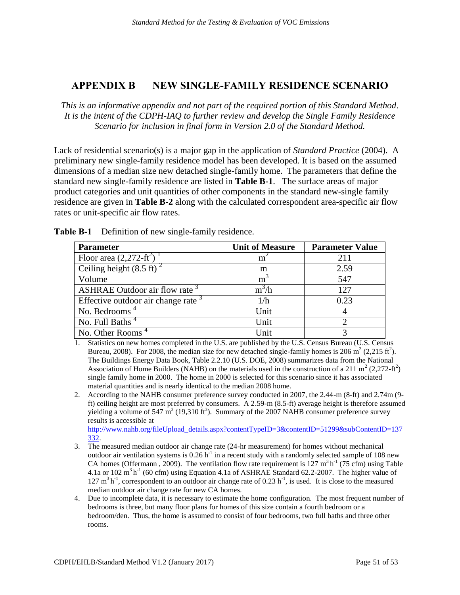#### <span id="page-50-0"></span>**APPENDIX B NEW SINGLE-FAMILY RESIDENCE SCENARIO**

 *This is an informative appendix and not part of the required portion of this Standard Method*.  *It is the intent of the CDPH-IAQ to further review and develop the Single Family Residence Scenario for inclusion in final form in Version 2.0 of the Standard Method.* 

Lack of residential scenario(s) is a major gap in the application of *Standard Practice* (2004). A preliminary new single-family residence model has been developed. It is based on the assumed dimensions of a median size new detached single-family home. The parameters that define the standard new single-family residence are listed in **Table B-1**. The surface areas of major product categories and unit quantities of other components in the standard new-single family residence are given in **Table B-2** along with the calculated correspondent area-specific air flow rates or unit-specific air flow rates.

| <b>Parameter</b>                                | <b>Unit of Measure</b> | <b>Parameter Value</b> |
|-------------------------------------------------|------------------------|------------------------|
| Floor area $(2,272\text{-}ft^2)$                | m                      | 211                    |
| Ceiling height $(8.5 \text{ ft})^2$             | m                      | 2.59                   |
| Volume                                          | m                      | 547                    |
| <b>ASHRAE Outdoor air flow rate</b>             | $m^3/h$                | 12.7                   |
| Effective outdoor air change rate $\frac{3}{2}$ | 1/h                    | 0.23                   |
| No. Bedrooms <sup>4</sup>                       | Unit                   |                        |
| No. Full Baths <sup>4</sup>                     | Unit                   |                        |
| No. Other Rooms <sup>4</sup>                    | Unit                   |                        |

<span id="page-50-1"></span> **Table B-1** Definition of new single-family residence.

- 1. Statistics on new homes completed in the U.S. are published by the U.S. Census Bureau (U.S. Census Bureau, 2008). For 2008, the median size for new detached single-family homes is 206 m<sup>2</sup> (2,215 ft<sup>2</sup>). The Buildings Energy Data Book, Table 2.2.10 (U.S. DOE, 2008) summarizes data from the National Association of Home Builders (NAHB) on the materials used in the construction of a 211 m<sup>2</sup> (2,272-ft<sup>2</sup>) single family home in 2000. The home in 2000 is selected for this scenario since it has associated material quantities and is nearly identical to the median 2008 home.
- 2. According to the NAHB consumer preference survey conducted in 2007, the 2.44-m (8-ft) and 2.74m (9- ft) ceiling height are most preferred by consumers. A 2.59-m (8.5-ft) average height is therefore assumed yielding a volume of 547  $\text{m}^3$  (19,310 ft<sup>3</sup>). Summary of the 2007 NAHB consumer preference survey results is accessible at http://www.nahb.org/fileUpload\_details.aspx?contentTypeID=3&contentID=51299&subContentID=137

[332.](http://www.nahb.org/fileUpload_details.aspx?contentTypeID=3&contentID=51299&subContentID=137332)

- 3. The measured median outdoor air change rate (24-hr measurement) for homes without mechanical outdoor air ventilation systems is 0.26  $h^{-1}$  in a recent study with a randomly selected sample of 108 new CA homes (Offermann, 2009). The ventilation flow rate requirement is 127 m<sup>3</sup> h<sup>-1</sup> (75 cfm) using Table 4.1a or 102 m<sup>3</sup> h<sup>-1</sup> (60 cfm) using Equation 4.1a of ASHRAE Standard 62.2-2007. The higher value of 127 m<sup>3</sup> h<sup>-1</sup>, correspondent to an outdoor air change rate of 0.23 h<sup>-1</sup>, is used. It is close to the measured  $127 \text{ m}^3 \text{ h}^{-1}$ , correspondent to an outdoor air change rate of 0.23 h<sup>-1</sup>, is used. It is close to the measured median outdoor air change rate for new CA homes.
- 4. Due to incomplete data, it is necessary to estimate the home configuration. The most frequent number of bedrooms is three, but many floor plans for homes of this size contain a fourth bedroom or a bedroom/den. Thus, the home is assumed to consist of four bedrooms, two full baths and three other rooms. rooms.<br>
CDPH/EHLB/Standard Method V1.2 (January 2017) Page 51 of 53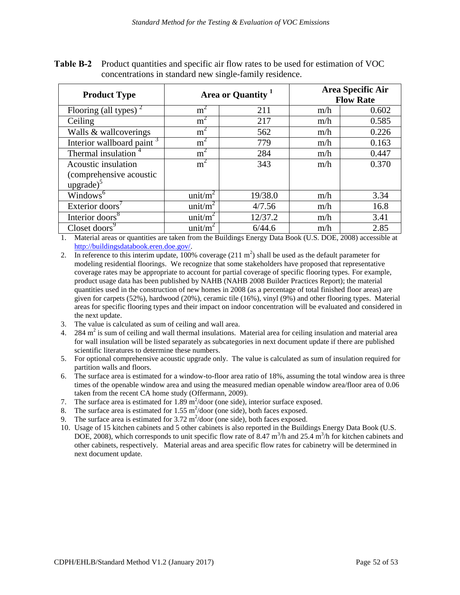| <b>Product Type</b>                            | Area or Quantity <sup>1</sup> |         | Area Specific Air<br><b>Flow Rate</b> |       |
|------------------------------------------------|-------------------------------|---------|---------------------------------------|-------|
| Flooring (all types) <sup><math>2</math></sup> | m                             | 211     | m/h                                   | 0.602 |
| Ceiling                                        | m <sup>2</sup>                | 217     | m/h                                   | 0.585 |
| Walls & wallcoverings                          | $m^{\circ}$                   | 562     | m/h                                   | 0.226 |
| Interior wallboard paint <sup>3</sup>          | m                             | 779     | m/h                                   | 0.163 |
| Thermal insulation <sup>4</sup>                | m <sup>2</sup>                | 284     | m/h                                   | 0.447 |
| Acoustic insulation                            | $m^2$                         | 343     | m/h                                   | 0.370 |
| (comprehensive acoustic                        |                               |         |                                       |       |
| upgrade) $5$                                   |                               |         |                                       |       |
| Windows <sup>6</sup>                           | unit/ $m^2$                   | 19/38.0 | m/h                                   | 3.34  |
| Exterior doors'                                | unit/ $m^2$                   | 4/7.56  | m/h                                   | 16.8  |
| Interior doors <sup>8</sup>                    | unit/ $m^2$                   | 12/37.2 | m/h                                   | 3.41  |
| Closet doors <sup>9</sup>                      | unit/ $m^2$                   | 6/44.6  | m/h                                   | 2.85  |

<span id="page-51-0"></span>**Table B-2** Product quantities and specific air flow rates to be used for estimation of VOC concentrations in standard new single-family residence.

 1. Material areas or quantities are taken from the Buildings Energy Data Book (U.S. DOE, 2008) accessible at [http://buildingsdatabook.eren.doe.gov/.](http://buildingsdatabook.eren.doe.gov/)

2. In reference to this interim update,  $100\%$  coverage (211 m<sup>2</sup>) shall be used as the default parameter for modeling residential floorings. We recognize that some stakeholders have proposed that representative coverage rates may be appropriate to account for partial coverage of specific flooring types. For example, product usage data has been published by NAHB (NAHB 2008 Builder Practices Report); the material quantities used in the construction of new homes in 2008 (as a percentage of total finished floor areas) are given for carpets (52%), hardwood (20%), ceramic tile (16%), vinyl (9%) and other flooring types. Material areas for specific flooring types and their impact on indoor concentration will be evaluated and considered in the next undate.

- the next update.<br>3. The value is calculated as sum of ceiling and wall area.
- 4.  $284 \text{ m}^2$  is sum of ceiling and wall thermal insulations. Material area for ceiling insulation and material area for wall insulation will be listed separately as subcategories in next document update if there are published scientific literatures to determine these numbers.
- scientific literatures to determine these numbers.<br>5. For optional comprehensive acoustic upgrade only. The value is calculated as sum of insulation required for partition walls and floors.
- 6. The surface area is estimated for a window-to-floor area ratio of 18%, assuming the total window area is three times of the openable window area and using the measured median openable window area/floor area of 0.06 taken from the recent CA home study (Offermann, 2009).
- 7. The surface area is estimated for  $1.89 \text{ m}^2/\text{door}$  (one side), interior surface exposed.
- 8. The surface area is estimated for  $1.55 \text{ m}^2/\text{door}$  (one side), both faces exposed.
- 9. The surface area is estimated for  $3.72 \text{ m}^2/\text{door}$  (one side), both faces exposed.
- 10. Usage of 15 kitchen cabinets and 5 other cabinets is also reported in the Buildings Energy Data Book (U.S. DOE, 2008), which corresponds to unit specific flow rate of 8.47  $\text{m}^3/\text{h}$  and 25.4  $\text{m}^3/\text{h}$  for kitchen cabinets and other cabinets, respectively. Material areas and area specific flow rates for cabinetry will be determined in next document update. next document update.<br>
CDPH/EHLB/Standard Method V1.2 (January 2017) Page 52 of 53